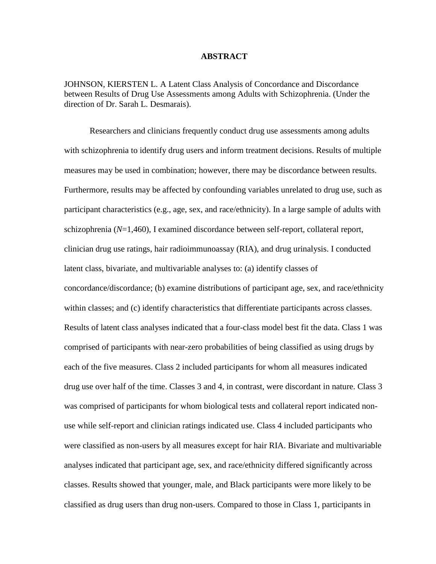#### **ABSTRACT**

JOHNSON, KIERSTEN L. A Latent Class Analysis of Concordance and Discordance between Results of Drug Use Assessments among Adults with Schizophrenia. (Under the direction of Dr. Sarah L. Desmarais).

Researchers and clinicians frequently conduct drug use assessments among adults with schizophrenia to identify drug users and inform treatment decisions. Results of multiple measures may be used in combination; however, there may be discordance between results. Furthermore, results may be affected by confounding variables unrelated to drug use, such as participant characteristics (e.g., age, sex, and race/ethnicity). In a large sample of adults with schizophrenia (*N*=1,460), I examined discordance between self-report, collateral report, clinician drug use ratings, hair radioimmunoassay (RIA), and drug urinalysis. I conducted latent class, bivariate, and multivariable analyses to: (a) identify classes of concordance/discordance; (b) examine distributions of participant age, sex, and race/ethnicity within classes; and (c) identify characteristics that differentiate participants across classes. Results of latent class analyses indicated that a four-class model best fit the data. Class 1 was comprised of participants with near-zero probabilities of being classified as using drugs by each of the five measures. Class 2 included participants for whom all measures indicated drug use over half of the time. Classes 3 and 4, in contrast, were discordant in nature. Class 3 was comprised of participants for whom biological tests and collateral report indicated nonuse while self-report and clinician ratings indicated use. Class 4 included participants who were classified as non-users by all measures except for hair RIA. Bivariate and multivariable analyses indicated that participant age, sex, and race/ethnicity differed significantly across classes. Results showed that younger, male, and Black participants were more likely to be classified as drug users than drug non-users. Compared to those in Class 1, participants in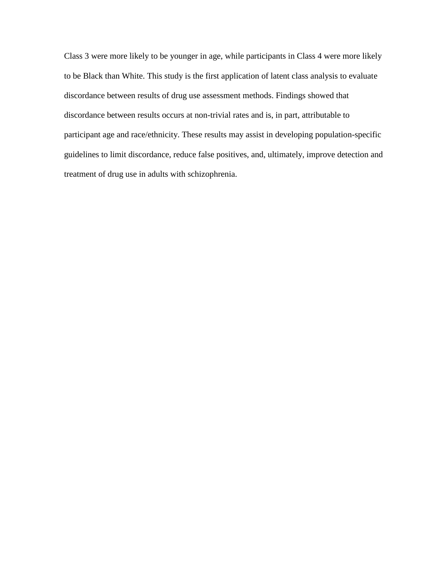Class 3 were more likely to be younger in age, while participants in Class 4 were more likely to be Black than White. This study is the first application of latent class analysis to evaluate discordance between results of drug use assessment methods. Findings showed that discordance between results occurs at non-trivial rates and is, in part, attributable to participant age and race/ethnicity. These results may assist in developing population-specific guidelines to limit discordance, reduce false positives, and, ultimately, improve detection and treatment of drug use in adults with schizophrenia.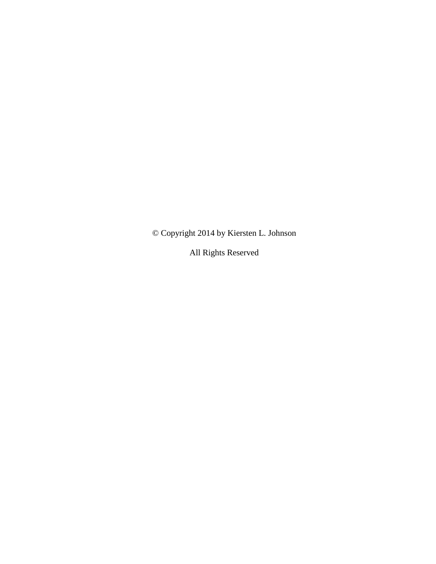© Copyright 2014 by Kiersten L. Johnson

All Rights Reserved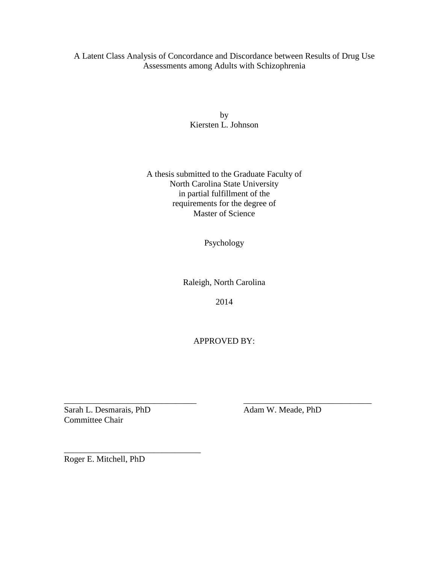A Latent Class Analysis of Concordance and Discordance between Results of Drug Use Assessments among Adults with Schizophrenia

> by Kiersten L. Johnson

A thesis submitted to the Graduate Faculty of North Carolina State University in partial fulfillment of the requirements for the degree of Master of Science

Psychology

Raleigh, North Carolina

2014

APPROVED BY:

\_\_\_\_\_\_\_\_\_\_\_\_\_\_\_\_\_\_\_\_\_\_\_\_\_\_\_\_\_\_\_ \_\_\_\_\_\_\_\_\_\_\_\_\_\_\_\_\_\_\_\_\_\_\_\_\_\_\_\_\_\_

Sarah L. Desmarais, PhD Adam W. Meade, PhD Committee Chair

Roger E. Mitchell, PhD

\_\_\_\_\_\_\_\_\_\_\_\_\_\_\_\_\_\_\_\_\_\_\_\_\_\_\_\_\_\_\_\_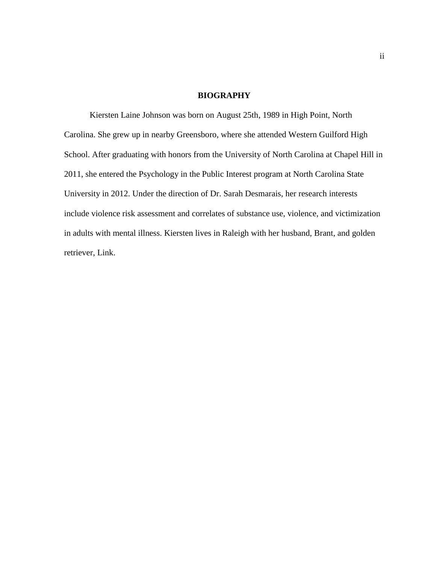#### **BIOGRAPHY**

Kiersten Laine Johnson was born on August 25th, 1989 in High Point, North Carolina. She grew up in nearby Greensboro, where she attended Western Guilford High School. After graduating with honors from the University of North Carolina at Chapel Hill in 2011, she entered the Psychology in the Public Interest program at North Carolina State University in 2012. Under the direction of Dr. Sarah Desmarais, her research interests include violence risk assessment and correlates of substance use, violence, and victimization in adults with mental illness. Kiersten lives in Raleigh with her husband, Brant, and golden retriever, Link.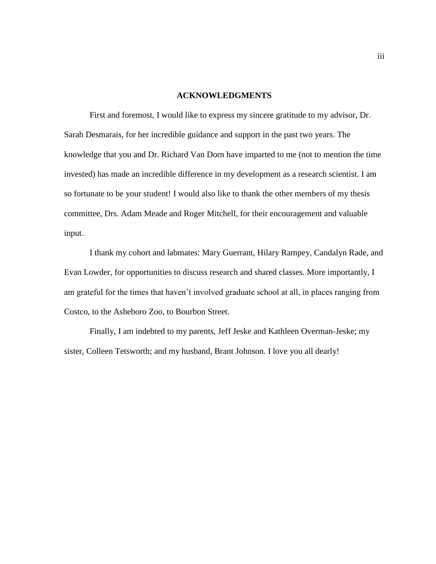#### **ACKNOWLEDGMENTS**

First and foremost, I would like to express my sincere gratitude to my advisor, Dr. Sarah Desmarais, for her incredible guidance and support in the past two years. The knowledge that you and Dr. Richard Van Dorn have imparted to me (not to mention the time invested) has made an incredible difference in my development as a research scientist. I am so fortunate to be your student! I would also like to thank the other members of my thesis committee, Drs. Adam Meade and Roger Mitchell, for their encouragement and valuable input.

I thank my cohort and labmates: Mary Guerrant, Hilary Rampey, Candalyn Rade, and Evan Lowder, for opportunities to discuss research and shared classes. More importantly, I am grateful for the times that haven't involved graduate school at all, in places ranging from Costco, to the Asheboro Zoo, to Bourbon Street.

Finally, I am indebted to my parents, Jeff Jeske and Kathleen Overman-Jeske; my sister, Colleen Tetsworth; and my husband, Brant Johnson. I love you all dearly!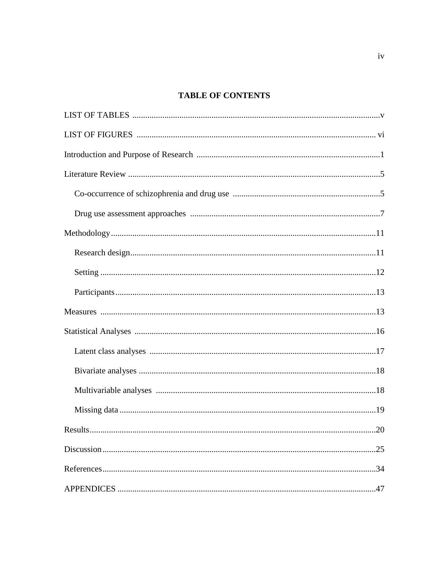## **TABLE OF CONTENTS**

| Results.<br>20 |
|----------------|
|                |
|                |
|                |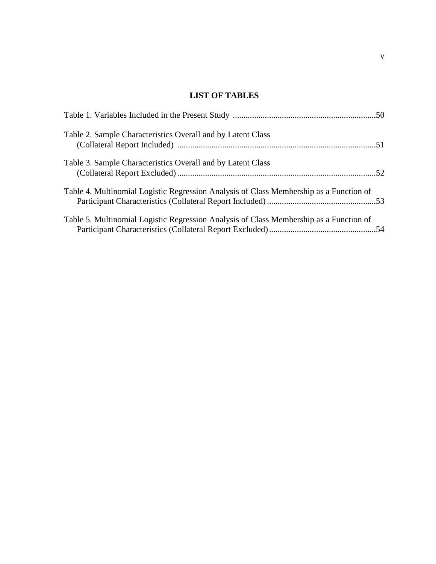## **LIST OF TABLES**

| Table 2. Sample Characteristics Overall and by Latent Class                            |  |
|----------------------------------------------------------------------------------------|--|
| Table 3. Sample Characteristics Overall and by Latent Class                            |  |
| Table 4. Multinomial Logistic Regression Analysis of Class Membership as a Function of |  |
| Table 5. Multinomial Logistic Regression Analysis of Class Membership as a Function of |  |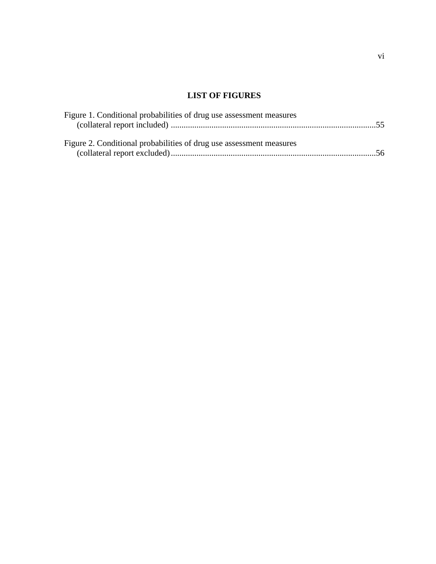# **LIST OF FIGURES**

| Figure 1. Conditional probabilities of drug use assessment measures |  |
|---------------------------------------------------------------------|--|
|                                                                     |  |
| Figure 2. Conditional probabilities of drug use assessment measures |  |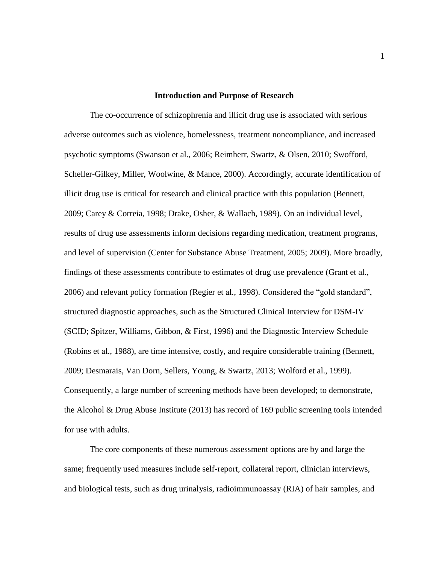#### **Introduction and Purpose of Research**

The co-occurrence of schizophrenia and illicit drug use is associated with serious adverse outcomes such as violence, homelessness, treatment noncompliance, and increased psychotic symptoms (Swanson et al., 2006; Reimherr, Swartz, & Olsen, 2010; Swofford, Scheller-Gilkey, Miller, Woolwine, & Mance, 2000). Accordingly, accurate identification of illicit drug use is critical for research and clinical practice with this population (Bennett, 2009; Carey & Correia, 1998; Drake, Osher, & Wallach, 1989). On an individual level, results of drug use assessments inform decisions regarding medication, treatment programs, and level of supervision (Center for Substance Abuse Treatment, 2005; 2009). More broadly, findings of these assessments contribute to estimates of drug use prevalence (Grant et al., 2006) and relevant policy formation (Regier et al., 1998). Considered the "gold standard", structured diagnostic approaches, such as the Structured Clinical Interview for DSM-IV (SCID; Spitzer, Williams, Gibbon, & First, 1996) and the Diagnostic Interview Schedule (Robins et al., 1988), are time intensive, costly, and require considerable training (Bennett, 2009; Desmarais, Van Dorn, Sellers, Young, & Swartz, 2013; Wolford et al., 1999). Consequently, a large number of screening methods have been developed; to demonstrate, the Alcohol & Drug Abuse Institute (2013) has record of 169 public screening tools intended for use with adults.

The core components of these numerous assessment options are by and large the same; frequently used measures include self-report, collateral report, clinician interviews, and biological tests, such as drug urinalysis, radioimmunoassay (RIA) of hair samples, and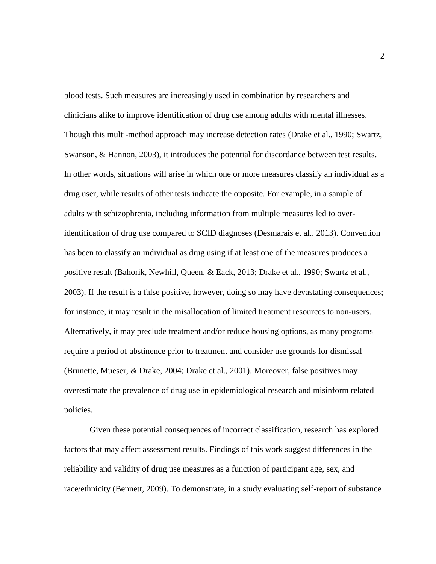blood tests. Such measures are increasingly used in combination by researchers and clinicians alike to improve identification of drug use among adults with mental illnesses. Though this multi-method approach may increase detection rates (Drake et al., 1990; Swartz, Swanson, & Hannon, 2003), it introduces the potential for discordance between test results. In other words, situations will arise in which one or more measures classify an individual as a drug user, while results of other tests indicate the opposite. For example, in a sample of adults with schizophrenia, including information from multiple measures led to overidentification of drug use compared to SCID diagnoses (Desmarais et al., 2013). Convention has been to classify an individual as drug using if at least one of the measures produces a positive result (Bahorik, Newhill, Queen, & Eack, 2013; Drake et al., 1990; Swartz et al., 2003). If the result is a false positive, however, doing so may have devastating consequences; for instance, it may result in the misallocation of limited treatment resources to non-users. Alternatively, it may preclude treatment and/or reduce housing options, as many programs require a period of abstinence prior to treatment and consider use grounds for dismissal (Brunette, Mueser, & Drake, 2004; Drake et al., 2001). Moreover, false positives may overestimate the prevalence of drug use in epidemiological research and misinform related policies.

Given these potential consequences of incorrect classification, research has explored factors that may affect assessment results. Findings of this work suggest differences in the reliability and validity of drug use measures as a function of participant age, sex, and race/ethnicity (Bennett, 2009). To demonstrate, in a study evaluating self-report of substance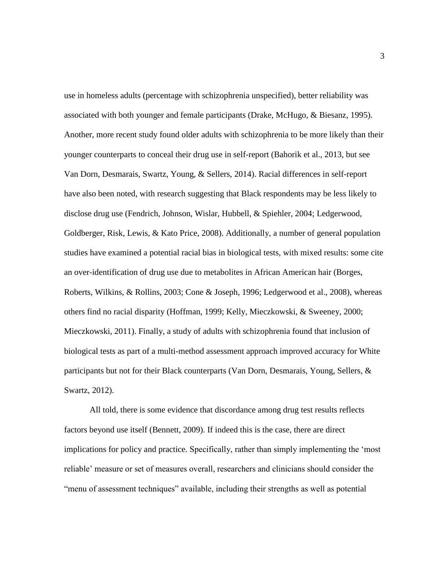use in homeless adults (percentage with schizophrenia unspecified), better reliability was associated with both younger and female participants (Drake, McHugo, & Biesanz, 1995). Another, more recent study found older adults with schizophrenia to be more likely than their younger counterparts to conceal their drug use in self-report (Bahorik et al., 2013, but see Van Dorn, Desmarais, Swartz, Young, & Sellers, 2014). Racial differences in self-report have also been noted, with research suggesting that Black respondents may be less likely to disclose drug use (Fendrich, Johnson, Wislar, Hubbell, & Spiehler, 2004; Ledgerwood, Goldberger, Risk, Lewis, & Kato Price, 2008). Additionally, a number of general population studies have examined a potential racial bias in biological tests, with mixed results: some cite an over-identification of drug use due to metabolites in African American hair (Borges, Roberts, Wilkins, & Rollins, 2003; Cone & Joseph, 1996; Ledgerwood et al., 2008), whereas others find no racial disparity (Hoffman, 1999; Kelly, Mieczkowski, & Sweeney, 2000; Mieczkowski, 2011). Finally, a study of adults with schizophrenia found that inclusion of biological tests as part of a multi-method assessment approach improved accuracy for White participants but not for their Black counterparts (Van Dorn, Desmarais, Young, Sellers, & Swartz, 2012).

All told, there is some evidence that discordance among drug test results reflects factors beyond use itself (Bennett, 2009). If indeed this is the case, there are direct implications for policy and practice. Specifically, rather than simply implementing the 'most reliable' measure or set of measures overall, researchers and clinicians should consider the "menu of assessment techniques" available, including their strengths as well as potential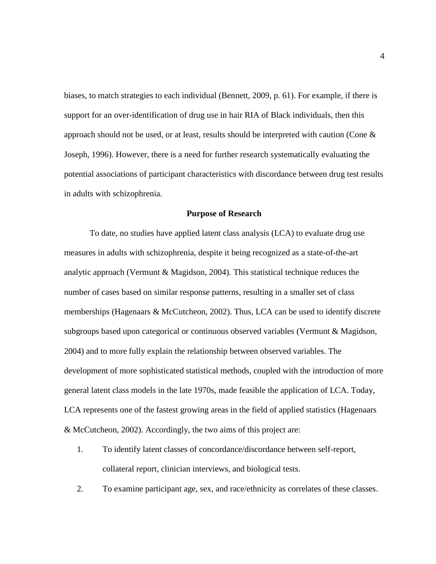biases, to match strategies to each individual (Bennett, 2009, p. 61). For example, if there is support for an over-identification of drug use in hair RIA of Black individuals, then this approach should not be used, or at least, results should be interpreted with caution (Cone  $\&$ Joseph, 1996). However, there is a need for further research systematically evaluating the potential associations of participant characteristics with discordance between drug test results in adults with schizophrenia.

#### **Purpose of Research**

To date, no studies have applied latent class analysis (LCA) to evaluate drug use measures in adults with schizophrenia, despite it being recognized as a state-of-the-art analytic approach (Vermunt & Magidson, 2004). This statistical technique reduces the number of cases based on similar response patterns, resulting in a smaller set of class memberships (Hagenaars & McCutcheon, 2002). Thus, LCA can be used to identify discrete subgroups based upon categorical or continuous observed variables (Vermunt & Magidson, 2004) and to more fully explain the relationship between observed variables. The development of more sophisticated statistical methods, coupled with the introduction of more general latent class models in the late 1970s, made feasible the application of LCA. Today, LCA represents one of the fastest growing areas in the field of applied statistics (Hagenaars & McCutcheon, 2002). Accordingly, the two aims of this project are:

- 1. To identify latent classes of concordance/discordance between self-report, collateral report, clinician interviews, and biological tests.
- 2. To examine participant age, sex, and race/ethnicity as correlates of these classes.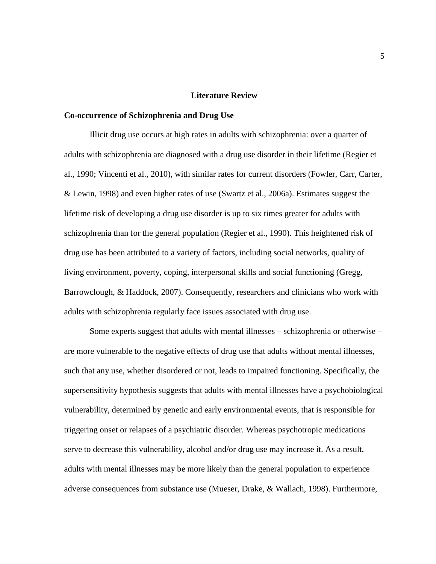#### **Literature Review**

#### **Co-occurrence of Schizophrenia and Drug Use**

Illicit drug use occurs at high rates in adults with schizophrenia: over a quarter of adults with schizophrenia are diagnosed with a drug use disorder in their lifetime (Regier et al., 1990; Vincenti et al., 2010), with similar rates for current disorders (Fowler, Carr, Carter, & Lewin, 1998) and even higher rates of use (Swartz et al., 2006a). Estimates suggest the lifetime risk of developing a drug use disorder is up to six times greater for adults with schizophrenia than for the general population (Regier et al., 1990). This heightened risk of drug use has been attributed to a variety of factors, including social networks, quality of living environment, poverty, coping, interpersonal skills and social functioning (Gregg, Barrowclough, & Haddock, 2007). Consequently, researchers and clinicians who work with adults with schizophrenia regularly face issues associated with drug use.

Some experts suggest that adults with mental illnesses – schizophrenia or otherwise – are more vulnerable to the negative effects of drug use that adults without mental illnesses, such that any use, whether disordered or not, leads to impaired functioning. Specifically, the supersensitivity hypothesis suggests that adults with mental illnesses have a psychobiological vulnerability, determined by genetic and early environmental events, that is responsible for triggering onset or relapses of a psychiatric disorder. Whereas psychotropic medications serve to decrease this vulnerability, alcohol and/or drug use may increase it. As a result, adults with mental illnesses may be more likely than the general population to experience adverse consequences from substance use (Mueser, Drake, & Wallach, 1998). Furthermore,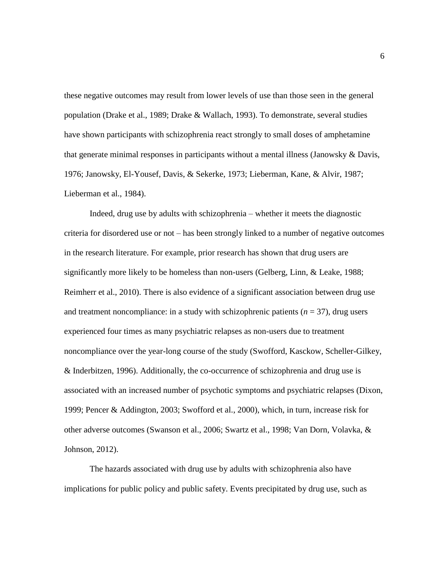these negative outcomes may result from lower levels of use than those seen in the general population (Drake et al., 1989; Drake & Wallach, 1993). To demonstrate, several studies have shown participants with schizophrenia react strongly to small doses of amphetamine that generate minimal responses in participants without a mental illness (Janowsky & Davis, 1976; Janowsky, El-Yousef, Davis, & Sekerke, 1973; Lieberman, Kane, & Alvir, 1987; Lieberman et al., 1984).

Indeed, drug use by adults with schizophrenia – whether it meets the diagnostic criteria for disordered use or not – has been strongly linked to a number of negative outcomes in the research literature. For example, prior research has shown that drug users are significantly more likely to be homeless than non-users (Gelberg, Linn, & Leake, 1988; Reimherr et al., 2010). There is also evidence of a significant association between drug use and treatment noncompliance: in a study with schizophrenic patients  $(n = 37)$ , drug users experienced four times as many psychiatric relapses as non-users due to treatment noncompliance over the year-long course of the study (Swofford, Kasckow, Scheller-Gilkey, & Inderbitzen, 1996). Additionally, the co-occurrence of schizophrenia and drug use is associated with an increased number of psychotic symptoms and psychiatric relapses (Dixon, 1999; Pencer & Addington, 2003; Swofford et al., 2000), which, in turn, increase risk for other adverse outcomes (Swanson et al., 2006; Swartz et al., 1998; Van Dorn, Volavka, & Johnson, 2012).

The hazards associated with drug use by adults with schizophrenia also have implications for public policy and public safety. Events precipitated by drug use, such as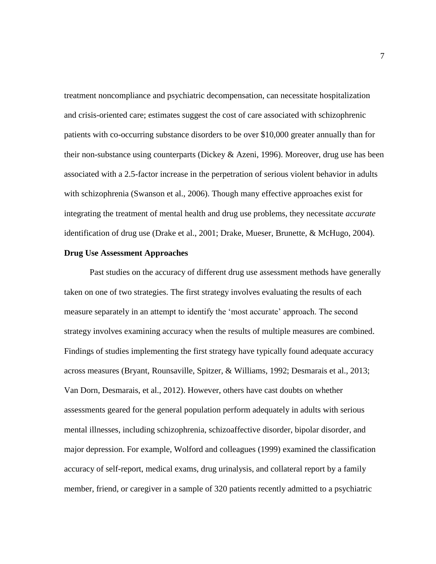treatment noncompliance and psychiatric decompensation, can necessitate hospitalization and crisis-oriented care; estimates suggest the cost of care associated with schizophrenic patients with co-occurring substance disorders to be over \$10,000 greater annually than for their non-substance using counterparts (Dickey  $\&$  Azeni, 1996). Moreover, drug use has been associated with a 2.5-factor increase in the perpetration of serious violent behavior in adults with schizophrenia (Swanson et al., 2006). Though many effective approaches exist for integrating the treatment of mental health and drug use problems, they necessitate *accurate* identification of drug use (Drake et al., 2001; Drake, Mueser, Brunette, & McHugo, 2004).

#### **Drug Use Assessment Approaches**

Past studies on the accuracy of different drug use assessment methods have generally taken on one of two strategies. The first strategy involves evaluating the results of each measure separately in an attempt to identify the 'most accurate' approach. The second strategy involves examining accuracy when the results of multiple measures are combined. Findings of studies implementing the first strategy have typically found adequate accuracy across measures (Bryant, Rounsaville, Spitzer, & Williams, 1992; Desmarais et al., 2013; Van Dorn, Desmarais, et al., 2012). However, others have cast doubts on whether assessments geared for the general population perform adequately in adults with serious mental illnesses, including schizophrenia, schizoaffective disorder, bipolar disorder, and major depression. For example, Wolford and colleagues (1999) examined the classification accuracy of self-report, medical exams, drug urinalysis, and collateral report by a family member, friend, or caregiver in a sample of 320 patients recently admitted to a psychiatric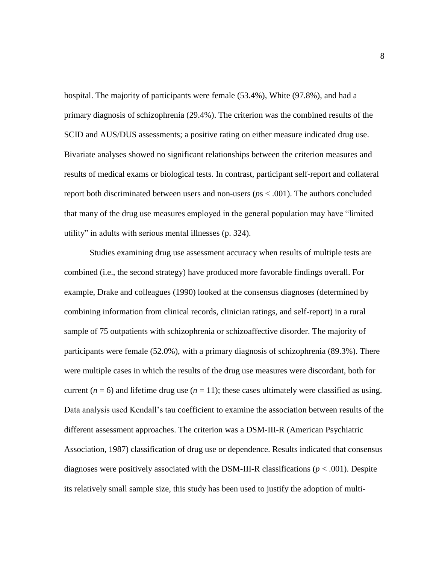hospital. The majority of participants were female (53.4%), White (97.8%), and had a primary diagnosis of schizophrenia (29.4%). The criterion was the combined results of the SCID and AUS/DUS assessments; a positive rating on either measure indicated drug use. Bivariate analyses showed no significant relationships between the criterion measures and results of medical exams or biological tests. In contrast, participant self-report and collateral report both discriminated between users and non-users (*p*s < .001). The authors concluded that many of the drug use measures employed in the general population may have "limited utility" in adults with serious mental illnesses (p. 324).

Studies examining drug use assessment accuracy when results of multiple tests are combined (i.e., the second strategy) have produced more favorable findings overall. For example, Drake and colleagues (1990) looked at the consensus diagnoses (determined by combining information from clinical records, clinician ratings, and self-report) in a rural sample of 75 outpatients with schizophrenia or schizoaffective disorder. The majority of participants were female (52.0%), with a primary diagnosis of schizophrenia (89.3%). There were multiple cases in which the results of the drug use measures were discordant, both for current ( $n = 6$ ) and lifetime drug use ( $n = 11$ ); these cases ultimately were classified as using. Data analysis used Kendall's tau coefficient to examine the association between results of the different assessment approaches. The criterion was a DSM-III-R (American Psychiatric Association, 1987) classification of drug use or dependence. Results indicated that consensus diagnoses were positively associated with the DSM-III-R classifications (*p* < .001). Despite its relatively small sample size, this study has been used to justify the adoption of multi-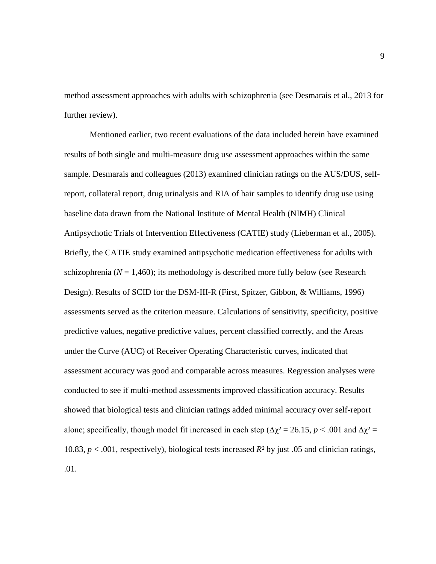method assessment approaches with adults with schizophrenia (see Desmarais et al., 2013 for further review).

Mentioned earlier, two recent evaluations of the data included herein have examined results of both single and multi-measure drug use assessment approaches within the same sample. Desmarais and colleagues (2013) examined clinician ratings on the AUS/DUS, selfreport, collateral report, drug urinalysis and RIA of hair samples to identify drug use using baseline data drawn from the National Institute of Mental Health (NIMH) Clinical Antipsychotic Trials of Intervention Effectiveness (CATIE) study (Lieberman et al., 2005). Briefly, the CATIE study examined antipsychotic medication effectiveness for adults with schizophrenia ( $N = 1,460$ ); its methodology is described more fully below (see Research Design). Results of SCID for the DSM-III-R (First, Spitzer, Gibbon, & Williams, 1996) assessments served as the criterion measure. Calculations of sensitivity, specificity, positive predictive values, negative predictive values, percent classified correctly, and the Areas under the Curve (AUC) of Receiver Operating Characteristic curves, indicated that assessment accuracy was good and comparable across measures. Regression analyses were conducted to see if multi-method assessments improved classification accuracy. Results showed that biological tests and clinician ratings added minimal accuracy over self-report alone; specifically, though model fit increased in each step ( $\Delta \chi^2 = 26.15$ ,  $p < .001$  and  $\Delta \chi^2 =$ 10.83, *p* < .001, respectively), biological tests increased *R²* by just .05 and clinician ratings, .01.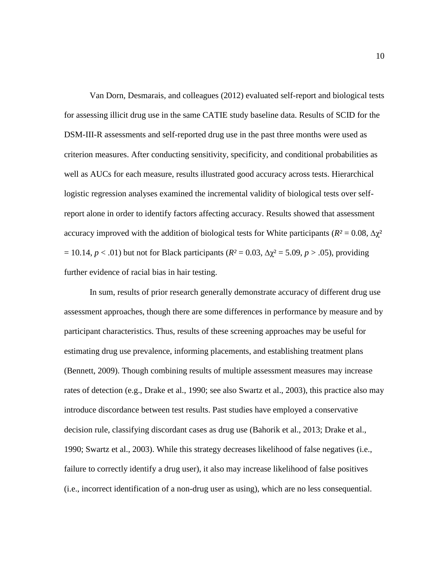Van Dorn, Desmarais, and colleagues (2012) evaluated self-report and biological tests for assessing illicit drug use in the same CATIE study baseline data. Results of SCID for the DSM-III-R assessments and self-reported drug use in the past three months were used as criterion measures. After conducting sensitivity, specificity, and conditional probabilities as well as AUCs for each measure, results illustrated good accuracy across tests. Hierarchical logistic regression analyses examined the incremental validity of biological tests over selfreport alone in order to identify factors affecting accuracy. Results showed that assessment accuracy improved with the addition of biological tests for White participants ( $R^2 = 0.08$ ,  $\Delta \chi^2$ ) = 10.14, *p* < .01) but not for Black participants (*R²* = 0.03*,* ∆χ² = 5.09, *p* > .05), providing further evidence of racial bias in hair testing.

In sum, results of prior research generally demonstrate accuracy of different drug use assessment approaches, though there are some differences in performance by measure and by participant characteristics. Thus, results of these screening approaches may be useful for estimating drug use prevalence, informing placements, and establishing treatment plans (Bennett, 2009). Though combining results of multiple assessment measures may increase rates of detection (e.g., Drake et al., 1990; see also Swartz et al., 2003), this practice also may introduce discordance between test results. Past studies have employed a conservative decision rule, classifying discordant cases as drug use (Bahorik et al., 2013; Drake et al., 1990; Swartz et al., 2003). While this strategy decreases likelihood of false negatives (i.e., failure to correctly identify a drug user), it also may increase likelihood of false positives (i.e., incorrect identification of a non-drug user as using), which are no less consequential.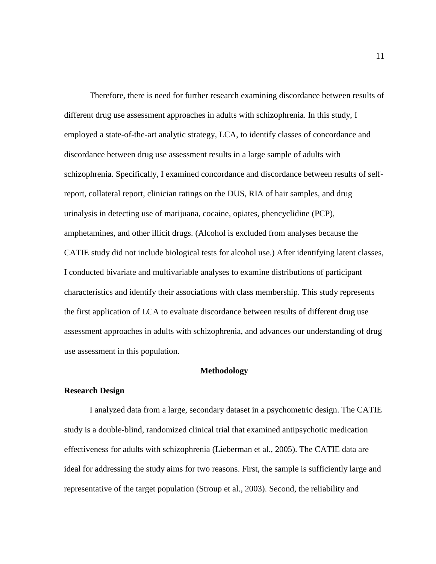Therefore, there is need for further research examining discordance between results of different drug use assessment approaches in adults with schizophrenia. In this study, I employed a state-of-the-art analytic strategy, LCA, to identify classes of concordance and discordance between drug use assessment results in a large sample of adults with schizophrenia. Specifically, I examined concordance and discordance between results of selfreport, collateral report, clinician ratings on the DUS, RIA of hair samples, and drug urinalysis in detecting use of marijuana, cocaine, opiates, phencyclidine (PCP), amphetamines, and other illicit drugs. (Alcohol is excluded from analyses because the CATIE study did not include biological tests for alcohol use.) After identifying latent classes, I conducted bivariate and multivariable analyses to examine distributions of participant characteristics and identify their associations with class membership. This study represents the first application of LCA to evaluate discordance between results of different drug use assessment approaches in adults with schizophrenia, and advances our understanding of drug use assessment in this population.

#### **Methodology**

#### **Research Design**

I analyzed data from a large, secondary dataset in a psychometric design. The CATIE study is a double-blind, randomized clinical trial that examined antipsychotic medication effectiveness for adults with schizophrenia (Lieberman et al., 2005). The CATIE data are ideal for addressing the study aims for two reasons. First, the sample is sufficiently large and representative of the target population (Stroup et al., 2003). Second, the reliability and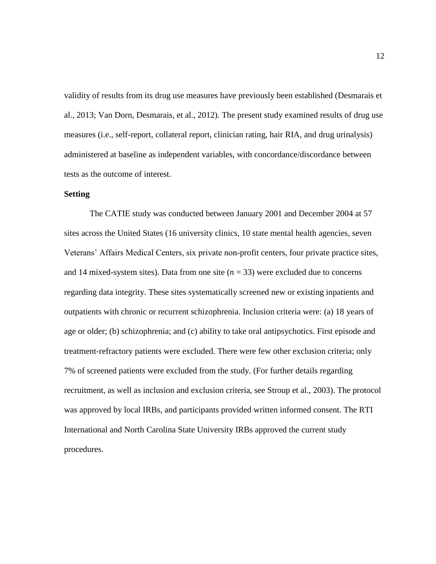validity of results from its drug use measures have previously been established (Desmarais et al., 2013; Van Dorn, Desmarais, et al., 2012). The present study examined results of drug use measures (i.e., self-report, collateral report, clinician rating, hair RIA, and drug urinalysis) administered at baseline as independent variables, with concordance/discordance between tests as the outcome of interest.

#### **Setting**

The CATIE study was conducted between January 2001 and December 2004 at 57 sites across the United States (16 university clinics, 10 state mental health agencies, seven Veterans' Affairs Medical Centers, six private non-profit centers, four private practice sites, and 14 mixed-system sites). Data from one site  $(n = 33)$  were excluded due to concerns regarding data integrity. These sites systematically screened new or existing inpatients and outpatients with chronic or recurrent schizophrenia. Inclusion criteria were: (a) 18 years of age or older; (b) schizophrenia; and (c) ability to take oral antipsychotics. First episode and treatment-refractory patients were excluded. There were few other exclusion criteria; only 7% of screened patients were excluded from the study. (For further details regarding recruitment, as well as inclusion and exclusion criteria, see Stroup et al., 2003). The protocol was approved by local IRBs, and participants provided written informed consent. The RTI International and North Carolina State University IRBs approved the current study procedures.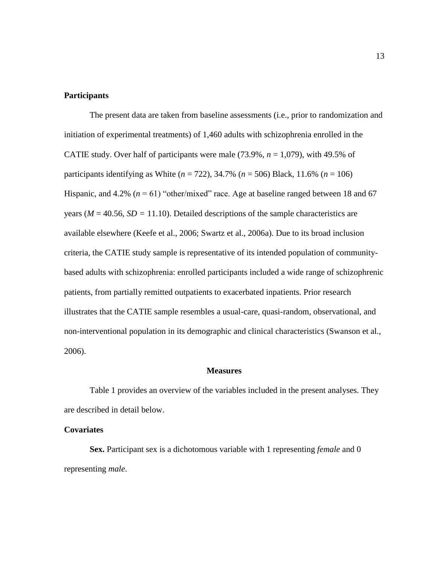### **Participants**

The present data are taken from baseline assessments (i.e., prior to randomization and initiation of experimental treatments) of 1,460 adults with schizophrenia enrolled in the CATIE study. Over half of participants were male  $(73.9\%, n = 1,079)$ , with 49.5% of participants identifying as White (*n* = 722), 34.7% (*n* = 506) Black, 11.6% (*n* = 106) Hispanic, and 4.2% ( $n = 61$ ) "other/mixed" race. Age at baseline ranged between 18 and 67 years ( $M = 40.56$ ,  $SD = 11.10$ ). Detailed descriptions of the sample characteristics are available elsewhere (Keefe et al., 2006; Swartz et al., 2006a). Due to its broad inclusion criteria, the CATIE study sample is representative of its intended population of communitybased adults with schizophrenia: enrolled participants included a wide range of schizophrenic patients, from partially remitted outpatients to exacerbated inpatients. Prior research illustrates that the CATIE sample resembles a usual-care, quasi-random, observational, and non-interventional population in its demographic and clinical characteristics (Swanson et al., 2006).

#### **Measures**

Table 1 provides an overview of the variables included in the present analyses. They are described in detail below.

#### **Covariates**

**Sex.** Participant sex is a dichotomous variable with 1 representing *female* and 0 representing *male*.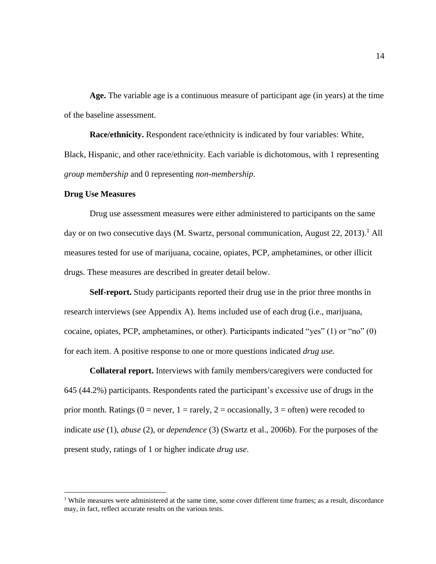**Age.** The variable age is a continuous measure of participant age (in years) at the time of the baseline assessment.

**Race/ethnicity.** Respondent race/ethnicity is indicated by four variables: White, Black, Hispanic, and other race/ethnicity. Each variable is dichotomous, with 1 representing *group membership* and 0 representing *non-membership*.

#### **Drug Use Measures**

 $\overline{a}$ 

Drug use assessment measures were either administered to participants on the same day or on two consecutive days (M. Swartz, personal communication, August  $22$ ,  $2013$ ).<sup>1</sup> All measures tested for use of marijuana, cocaine, opiates, PCP, amphetamines, or other illicit drugs. These measures are described in greater detail below.

**Self-report.** Study participants reported their drug use in the prior three months in research interviews (see Appendix A). Items included use of each drug (i.e., marijuana, cocaine, opiates, PCP, amphetamines, or other). Participants indicated "yes" (1) or "no" (0) for each item. A positive response to one or more questions indicated *drug use*.

**Collateral report.** Interviews with family members/caregivers were conducted for 645 (44.2%) participants. Respondents rated the participant's excessive use of drugs in the prior month. Ratings ( $0 =$  never,  $1 =$  rarely,  $2 =$  occasionally,  $3 =$  often) were recoded to indicate *use* (1), *abuse* (2), or *dependence* (3) (Swartz et al., 2006b). For the purposes of the present study, ratings of 1 or higher indicate *drug use*.

<sup>&</sup>lt;sup>1</sup> While measures were administered at the same time, some cover different time frames; as a result, discordance may, in fact, reflect accurate results on the various tests.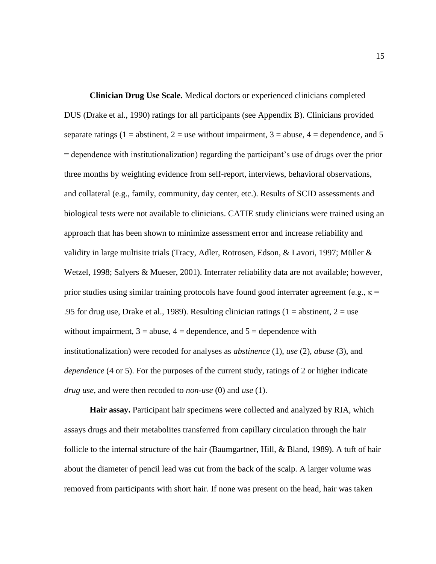**Clinician Drug Use Scale.** Medical doctors or experienced clinicians completed DUS (Drake et al., 1990) ratings for all participants (see Appendix B). Clinicians provided separate ratings (1 = abstinent, 2 = use without impairment, 3 = abuse, 4 = dependence, and 5 = dependence with institutionalization) regarding the participant's use of drugs over the prior three months by weighting evidence from self-report, interviews, behavioral observations, and collateral (e.g., family, community, day center, etc.). Results of SCID assessments and biological tests were not available to clinicians. CATIE study clinicians were trained using an approach that has been shown to minimize assessment error and increase reliability and validity in large multisite trials (Tracy, Adler, Rotrosen, Edson, & Lavori, 1997; Müller & Wetzel, 1998; Salyers & Mueser, 2001). Interrater reliability data are not available; however, prior studies using similar training protocols have found good interrater agreement (e.g.,  $\kappa$  = .95 for drug use, Drake et al., 1989). Resulting clinician ratings (1 = abstinent, 2 = use without impairment,  $3 =$  abuse,  $4 =$  dependence, and  $5 =$  dependence with institutionalization) were recoded for analyses as *abstinence* (1), *use* (2), *abuse* (3), and *dependence* (4 or 5). For the purposes of the current study, ratings of 2 or higher indicate *drug use*, and were then recoded to *non-use* (0) and *use* (1).

**Hair assay.** Participant hair specimens were collected and analyzed by RIA, which assays drugs and their metabolites transferred from capillary circulation through the hair follicle to the internal structure of the hair (Baumgartner, Hill, & Bland, 1989). A tuft of hair about the diameter of pencil lead was cut from the back of the scalp. A larger volume was removed from participants with short hair. If none was present on the head, hair was taken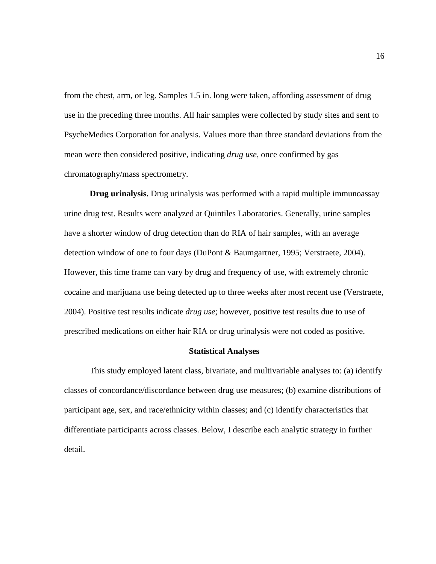from the chest, arm, or leg. Samples 1.5 in. long were taken, affording assessment of drug use in the preceding three months. All hair samples were collected by study sites and sent to PsycheMedics Corporation for analysis. Values more than three standard deviations from the mean were then considered positive, indicating *drug use*, once confirmed by gas chromatography/mass spectrometry.

**Drug urinalysis.** Drug urinalysis was performed with a rapid multiple immunoassay urine drug test. Results were analyzed at Quintiles Laboratories. Generally, urine samples have a shorter window of drug detection than do RIA of hair samples, with an average detection window of one to four days (DuPont & Baumgartner, 1995; Verstraete, 2004). However, this time frame can vary by drug and frequency of use, with extremely chronic cocaine and marijuana use being detected up to three weeks after most recent use (Verstraete, 2004). Positive test results indicate *drug use*; however, positive test results due to use of prescribed medications on either hair RIA or drug urinalysis were not coded as positive.

#### **Statistical Analyses**

This study employed latent class, bivariate, and multivariable analyses to: (a) identify classes of concordance/discordance between drug use measures; (b) examine distributions of participant age, sex, and race/ethnicity within classes; and (c) identify characteristics that differentiate participants across classes. Below, I describe each analytic strategy in further detail.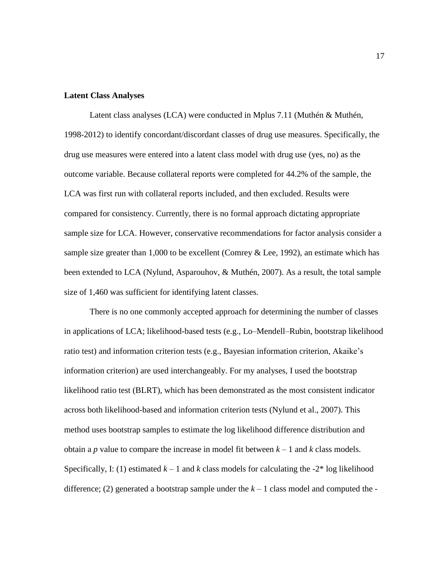#### **Latent Class Analyses**

Latent class analyses (LCA) were conducted in Mplus 7.11 (Muthén & Muthén, 1998-2012) to identify concordant/discordant classes of drug use measures. Specifically, the drug use measures were entered into a latent class model with drug use (yes, no) as the outcome variable. Because collateral reports were completed for 44.2% of the sample, the LCA was first run with collateral reports included, and then excluded. Results were compared for consistency. Currently, there is no formal approach dictating appropriate sample size for LCA. However, conservative recommendations for factor analysis consider a sample size greater than 1,000 to be excellent (Comrey & Lee, 1992), an estimate which has been extended to LCA (Nylund, Asparouhov, & Muthén, 2007). As a result, the total sample size of 1,460 was sufficient for identifying latent classes.

There is no one commonly accepted approach for determining the number of classes in applications of LCA; likelihood-based tests (e.g., Lo–Mendell–Rubin, bootstrap likelihood ratio test) and information criterion tests (e.g., Bayesian information criterion, Akaike's information criterion) are used interchangeably. For my analyses, I used the bootstrap likelihood ratio test (BLRT), which has been demonstrated as the most consistent indicator across both likelihood-based and information criterion tests (Nylund et al., 2007). This method uses bootstrap samples to estimate the log likelihood difference distribution and obtain a *p* value to compare the increase in model fit between  $k - 1$  and *k* class models. Specifically, I: (1) estimated  $k-1$  and k class models for calculating the  $-2^*$  log likelihood difference; (2) generated a bootstrap sample under the  $k-1$  class model and computed the -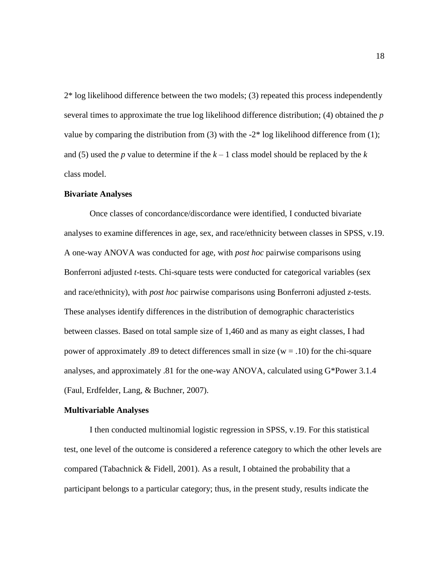2\* log likelihood difference between the two models; (3) repeated this process independently several times to approximate the true log likelihood difference distribution; (4) obtained the *p*  value by comparing the distribution from  $(3)$  with the  $-2^*$  log likelihood difference from  $(1)$ ; and (5) used the *p* value to determine if the  $k-1$  class model should be replaced by the  $k$ class model.

#### **Bivariate Analyses**

Once classes of concordance/discordance were identified, I conducted bivariate analyses to examine differences in age, sex, and race/ethnicity between classes in SPSS, v.19. A one-way ANOVA was conducted for age, with *post hoc* pairwise comparisons using Bonferroni adjusted *t*-tests. Chi-square tests were conducted for categorical variables (sex and race/ethnicity), with *post hoc* pairwise comparisons using Bonferroni adjusted *z*-tests. These analyses identify differences in the distribution of demographic characteristics between classes. Based on total sample size of 1,460 and as many as eight classes, I had power of approximately .89 to detect differences small in size ( $w = .10$ ) for the chi-square analyses, and approximately .81 for the one-way ANOVA, calculated using G\*Power 3.1.4 (Faul, Erdfelder, Lang, & Buchner, 2007).

#### **Multivariable Analyses**

I then conducted multinomial logistic regression in SPSS, v.19. For this statistical test, one level of the outcome is considered a reference category to which the other levels are compared (Tabachnick & Fidell, 2001). As a result, I obtained the probability that a participant belongs to a particular category; thus, in the present study, results indicate the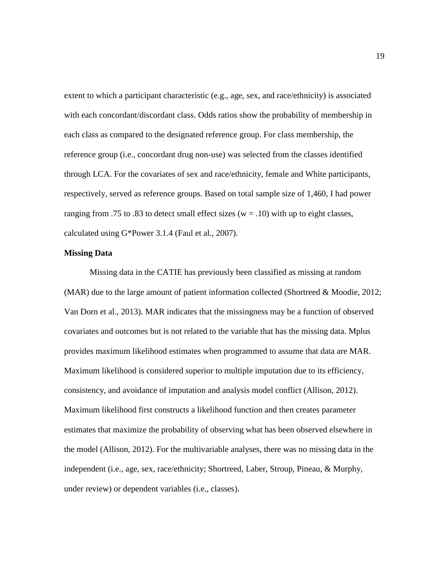extent to which a participant characteristic (e.g., age, sex, and race/ethnicity) is associated with each concordant/discordant class. Odds ratios show the probability of membership in each class as compared to the designated reference group. For class membership, the reference group (i.e., concordant drug non-use) was selected from the classes identified through LCA. For the covariates of sex and race/ethnicity, female and White participants, respectively, served as reference groups. Based on total sample size of 1,460, I had power ranging from .75 to .83 to detect small effect sizes ( $w = .10$ ) with up to eight classes, calculated using G\*Power 3.1.4 (Faul et al., 2007).

#### **Missing Data**

Missing data in the CATIE has previously been classified as missing at random (MAR) due to the large amount of patient information collected (Shortreed & Moodie, 2012; Van Dorn et al., 2013). MAR indicates that the missingness may be a function of observed covariates and outcomes but is not related to the variable that has the missing data. Mplus provides maximum likelihood estimates when programmed to assume that data are MAR. Maximum likelihood is considered superior to multiple imputation due to its efficiency, consistency, and avoidance of imputation and analysis model conflict (Allison, 2012). Maximum likelihood first constructs a likelihood function and then creates parameter estimates that maximize the probability of observing what has been observed elsewhere in the model (Allison, 2012). For the multivariable analyses, there was no missing data in the independent (i.e., age, sex, race/ethnicity; Shortreed, Laber, Stroup, Pineau, & Murphy, under review) or dependent variables (i.e., classes).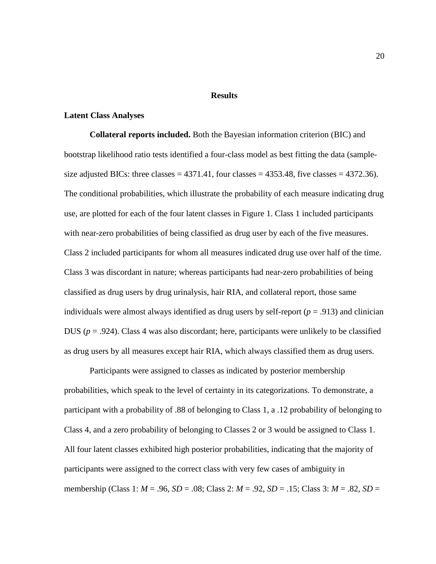#### **Results**

#### **Latent Class Analyses**

**Collateral reports included.** Both the Bayesian information criterion (BIC) and bootstrap likelihood ratio tests identified a four-class model as best fitting the data (samplesize adjusted BICs: three classes  $= 4371.41$ , four classes  $= 4353.48$ , five classes  $= 4372.36$ ). The conditional probabilities, which illustrate the probability of each measure indicating drug use, are plotted for each of the four latent classes in Figure 1. Class 1 included participants with near-zero probabilities of being classified as drug user by each of the five measures. Class 2 included participants for whom all measures indicated drug use over half of the time. Class 3 was discordant in nature; whereas participants had near-zero probabilities of being classified as drug users by drug urinalysis, hair RIA, and collateral report, those same individuals were almost always identified as drug users by self-report ( $p = .913$ ) and clinician DUS ( $p = .924$ ). Class 4 was also discordant; here, participants were unlikely to be classified as drug users by all measures except hair RIA, which always classified them as drug users.

Participants were assigned to classes as indicated by posterior membership probabilities, which speak to the level of certainty in its categorizations. To demonstrate, a participant with a probability of .88 of belonging to Class 1, a .12 probability of belonging to Class 4, and a zero probability of belonging to Classes 2 or 3 would be assigned to Class 1. All four latent classes exhibited high posterior probabilities, indicating that the majority of participants were assigned to the correct class with very few cases of ambiguity in membership (Class 1: *M* = .96, *SD* = .08; Class 2: *M* = .92, *SD* = .15; Class 3: *M* = .82, *SD* =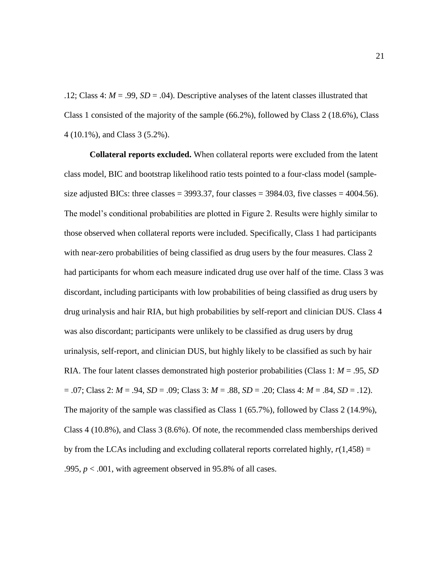.12; Class 4:  $M = .99$ ,  $SD = .04$ ). Descriptive analyses of the latent classes illustrated that Class 1 consisted of the majority of the sample (66.2%), followed by Class 2 (18.6%), Class 4 (10.1%), and Class 3 (5.2%).

**Collateral reports excluded.** When collateral reports were excluded from the latent class model, BIC and bootstrap likelihood ratio tests pointed to a four-class model (samplesize adjusted BICs: three classes =  $3993.37$ , four classes =  $3984.03$ , five classes =  $4004.56$ ). The model's conditional probabilities are plotted in Figure 2. Results were highly similar to those observed when collateral reports were included. Specifically, Class 1 had participants with near-zero probabilities of being classified as drug users by the four measures. Class 2 had participants for whom each measure indicated drug use over half of the time. Class 3 was discordant, including participants with low probabilities of being classified as drug users by drug urinalysis and hair RIA, but high probabilities by self-report and clinician DUS. Class 4 was also discordant; participants were unlikely to be classified as drug users by drug urinalysis, self-report, and clinician DUS, but highly likely to be classified as such by hair RIA. The four latent classes demonstrated high posterior probabilities (Class 1: *M* = .95, *SD* = .07; Class 2: *M* = .94, *SD* = .09; Class 3: *M* = .88, *SD* = .20; Class 4: *M* = .84, *SD* = .12). The majority of the sample was classified as Class 1 (65.7%), followed by Class 2 (14.9%), Class 4 (10.8%), and Class 3 (8.6%). Of note, the recommended class memberships derived by from the LCAs including and excluding collateral reports correlated highly,  $r(1,458) =$ .995,  $p < .001$ , with agreement observed in 95.8% of all cases.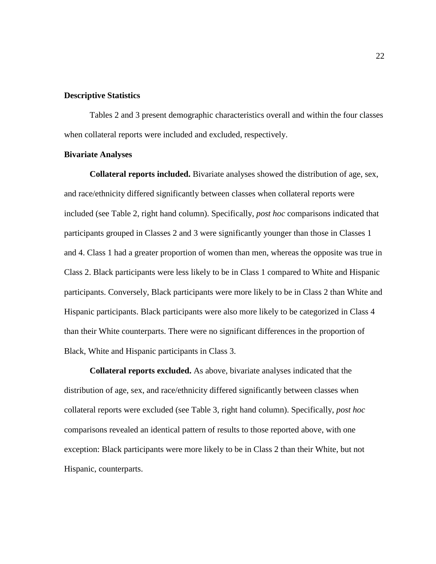#### **Descriptive Statistics**

Tables 2 and 3 present demographic characteristics overall and within the four classes when collateral reports were included and excluded, respectively.

#### **Bivariate Analyses**

**Collateral reports included.** Bivariate analyses showed the distribution of age, sex, and race/ethnicity differed significantly between classes when collateral reports were included (see Table 2, right hand column). Specifically, *post hoc* comparisons indicated that participants grouped in Classes 2 and 3 were significantly younger than those in Classes 1 and 4. Class 1 had a greater proportion of women than men, whereas the opposite was true in Class 2. Black participants were less likely to be in Class 1 compared to White and Hispanic participants. Conversely, Black participants were more likely to be in Class 2 than White and Hispanic participants. Black participants were also more likely to be categorized in Class 4 than their White counterparts. There were no significant differences in the proportion of Black, White and Hispanic participants in Class 3.

**Collateral reports excluded.** As above, bivariate analyses indicated that the distribution of age, sex, and race/ethnicity differed significantly between classes when collateral reports were excluded (see Table 3, right hand column). Specifically, *post hoc*  comparisons revealed an identical pattern of results to those reported above, with one exception: Black participants were more likely to be in Class 2 than their White, but not Hispanic, counterparts.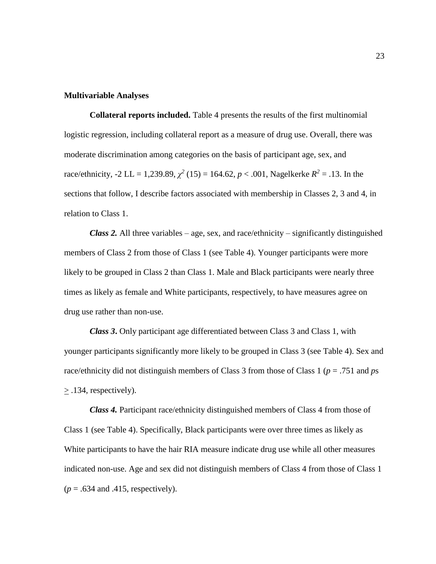#### **Multivariable Analyses**

**Collateral reports included.** Table 4 presents the results of the first multinomial logistic regression, including collateral report as a measure of drug use. Overall, there was moderate discrimination among categories on the basis of participant age, sex, and race/ethnicity, -2 LL = 1,239.89,  $\chi^2$  (15) = 164.62,  $p < .001$ , Nagelkerke  $R^2 = .13$ . In the sections that follow, I describe factors associated with membership in Classes 2, 3 and 4, in relation to Class 1.

*Class 2.* All three variables – age, sex, and race/ethnicity – significantly distinguished members of Class 2 from those of Class 1 (see Table 4). Younger participants were more likely to be grouped in Class 2 than Class 1. Male and Black participants were nearly three times as likely as female and White participants, respectively, to have measures agree on drug use rather than non-use.

*Class 3***.** Only participant age differentiated between Class 3 and Class 1, with younger participants significantly more likely to be grouped in Class 3 (see Table 4). Sex and race/ethnicity did not distinguish members of Class 3 from those of Class 1 (*p* = .751 and *p*s > .134, respectively).

*Class 4.* Participant race/ethnicity distinguished members of Class 4 from those of Class 1 (see Table 4). Specifically, Black participants were over three times as likely as White participants to have the hair RIA measure indicate drug use while all other measures indicated non-use. Age and sex did not distinguish members of Class 4 from those of Class 1  $(p = .634$  and .415, respectively).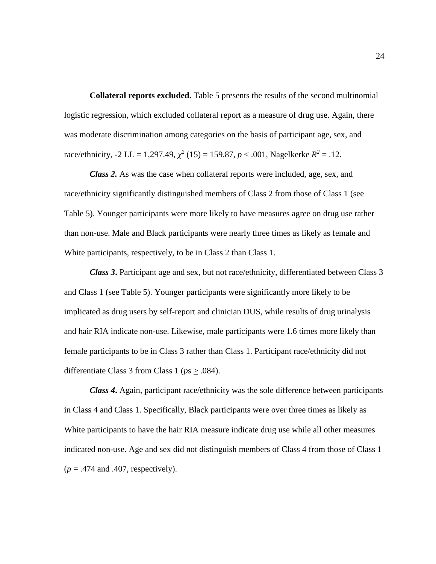**Collateral reports excluded.** Table 5 presents the results of the second multinomial logistic regression, which excluded collateral report as a measure of drug use. Again, there was moderate discrimination among categories on the basis of participant age, sex, and race/ethnicity, -2 LL = 1,297.49,  $\chi^2$  (15) = 159.87,  $p < .001$ , Nagelkerke  $R^2 = .12$ .

*Class 2.* As was the case when collateral reports were included, age, sex, and race/ethnicity significantly distinguished members of Class 2 from those of Class 1 (see Table 5). Younger participants were more likely to have measures agree on drug use rather than non-use. Male and Black participants were nearly three times as likely as female and White participants, respectively, to be in Class 2 than Class 1.

*Class 3***.** Participant age and sex, but not race/ethnicity, differentiated between Class 3 and Class 1 (see Table 5). Younger participants were significantly more likely to be implicated as drug users by self-report and clinician DUS, while results of drug urinalysis and hair RIA indicate non-use. Likewise, male participants were 1.6 times more likely than female participants to be in Class 3 rather than Class 1. Participant race/ethnicity did not differentiate Class 3 from Class 1 ( $ps \ge .084$ ).

*Class 4***.** Again, participant race/ethnicity was the sole difference between participants in Class 4 and Class 1. Specifically, Black participants were over three times as likely as White participants to have the hair RIA measure indicate drug use while all other measures indicated non-use. Age and sex did not distinguish members of Class 4 from those of Class 1  $(p = .474$  and  $.407$ , respectively).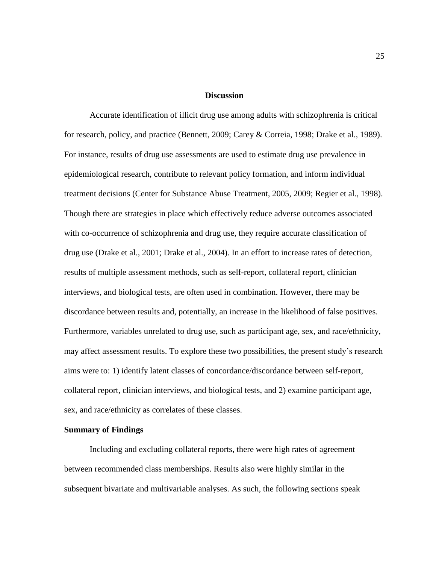#### **Discussion**

Accurate identification of illicit drug use among adults with schizophrenia is critical for research, policy, and practice (Bennett, 2009; Carey & Correia, 1998; Drake et al., 1989). For instance, results of drug use assessments are used to estimate drug use prevalence in epidemiological research, contribute to relevant policy formation, and inform individual treatment decisions (Center for Substance Abuse Treatment, 2005, 2009; Regier et al., 1998). Though there are strategies in place which effectively reduce adverse outcomes associated with co-occurrence of schizophrenia and drug use, they require accurate classification of drug use (Drake et al., 2001; Drake et al., 2004). In an effort to increase rates of detection, results of multiple assessment methods, such as self-report, collateral report, clinician interviews, and biological tests, are often used in combination. However, there may be discordance between results and, potentially, an increase in the likelihood of false positives. Furthermore, variables unrelated to drug use, such as participant age, sex, and race/ethnicity, may affect assessment results. To explore these two possibilities, the present study's research aims were to: 1) identify latent classes of concordance/discordance between self-report, collateral report, clinician interviews, and biological tests, and 2) examine participant age, sex, and race/ethnicity as correlates of these classes.

#### **Summary of Findings**

Including and excluding collateral reports, there were high rates of agreement between recommended class memberships. Results also were highly similar in the subsequent bivariate and multivariable analyses. As such, the following sections speak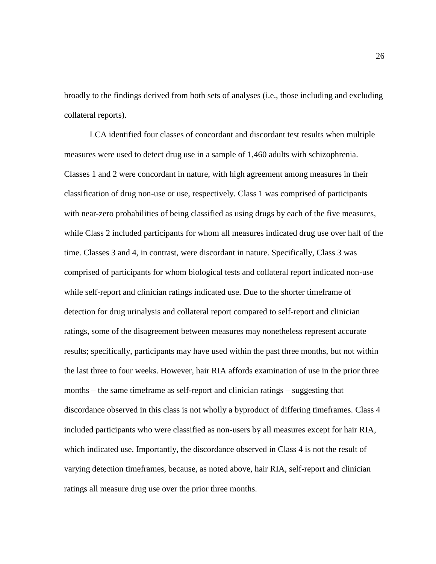broadly to the findings derived from both sets of analyses (i.e., those including and excluding collateral reports).

LCA identified four classes of concordant and discordant test results when multiple measures were used to detect drug use in a sample of 1,460 adults with schizophrenia. Classes 1 and 2 were concordant in nature, with high agreement among measures in their classification of drug non-use or use, respectively. Class 1 was comprised of participants with near-zero probabilities of being classified as using drugs by each of the five measures, while Class 2 included participants for whom all measures indicated drug use over half of the time. Classes 3 and 4, in contrast, were discordant in nature. Specifically, Class 3 was comprised of participants for whom biological tests and collateral report indicated non-use while self-report and clinician ratings indicated use. Due to the shorter timeframe of detection for drug urinalysis and collateral report compared to self-report and clinician ratings, some of the disagreement between measures may nonetheless represent accurate results; specifically, participants may have used within the past three months, but not within the last three to four weeks. However, hair RIA affords examination of use in the prior three months – the same timeframe as self-report and clinician ratings – suggesting that discordance observed in this class is not wholly a byproduct of differing timeframes. Class 4 included participants who were classified as non-users by all measures except for hair RIA, which indicated use. Importantly, the discordance observed in Class 4 is not the result of varying detection timeframes, because, as noted above, hair RIA, self-report and clinician ratings all measure drug use over the prior three months.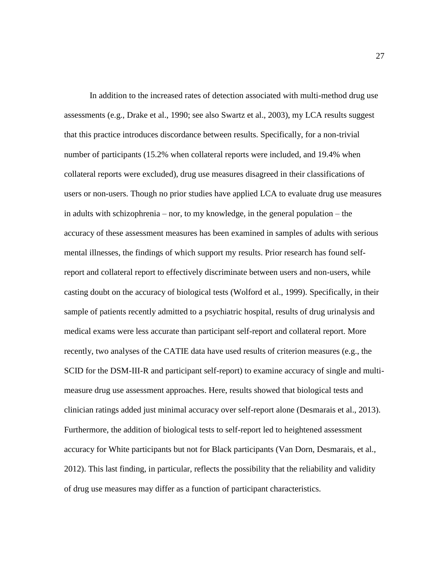In addition to the increased rates of detection associated with multi-method drug use assessments (e.g., Drake et al., 1990; see also Swartz et al., 2003), my LCA results suggest that this practice introduces discordance between results. Specifically, for a non-trivial number of participants (15.2% when collateral reports were included, and 19.4% when collateral reports were excluded), drug use measures disagreed in their classifications of users or non-users. Though no prior studies have applied LCA to evaluate drug use measures in adults with schizophrenia – nor, to my knowledge, in the general population – the accuracy of these assessment measures has been examined in samples of adults with serious mental illnesses, the findings of which support my results. Prior research has found selfreport and collateral report to effectively discriminate between users and non-users, while casting doubt on the accuracy of biological tests (Wolford et al., 1999). Specifically, in their sample of patients recently admitted to a psychiatric hospital, results of drug urinalysis and medical exams were less accurate than participant self-report and collateral report. More recently, two analyses of the CATIE data have used results of criterion measures (e.g., the SCID for the DSM-III-R and participant self-report) to examine accuracy of single and multimeasure drug use assessment approaches. Here, results showed that biological tests and clinician ratings added just minimal accuracy over self-report alone (Desmarais et al., 2013). Furthermore, the addition of biological tests to self-report led to heightened assessment accuracy for White participants but not for Black participants (Van Dorn, Desmarais, et al., 2012). This last finding, in particular, reflects the possibility that the reliability and validity of drug use measures may differ as a function of participant characteristics.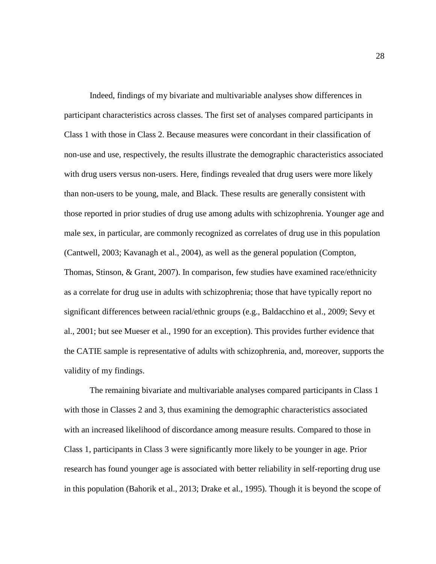Indeed, findings of my bivariate and multivariable analyses show differences in participant characteristics across classes. The first set of analyses compared participants in Class 1 with those in Class 2. Because measures were concordant in their classification of non-use and use, respectively, the results illustrate the demographic characteristics associated with drug users versus non-users. Here, findings revealed that drug users were more likely than non-users to be young, male, and Black. These results are generally consistent with those reported in prior studies of drug use among adults with schizophrenia. Younger age and male sex, in particular, are commonly recognized as correlates of drug use in this population (Cantwell, 2003; Kavanagh et al., 2004), as well as the general population (Compton, Thomas, Stinson, & Grant, 2007). In comparison, few studies have examined race/ethnicity as a correlate for drug use in adults with schizophrenia; those that have typically report no significant differences between racial/ethnic groups (e.g., Baldacchino et al., 2009; Sevy et al., 2001; but see Mueser et al., 1990 for an exception). This provides further evidence that the CATIE sample is representative of adults with schizophrenia, and, moreover, supports the validity of my findings.

The remaining bivariate and multivariable analyses compared participants in Class 1 with those in Classes 2 and 3, thus examining the demographic characteristics associated with an increased likelihood of discordance among measure results. Compared to those in Class 1, participants in Class 3 were significantly more likely to be younger in age. Prior research has found younger age is associated with better reliability in self-reporting drug use in this population (Bahorik et al., 2013; Drake et al., 1995). Though it is beyond the scope of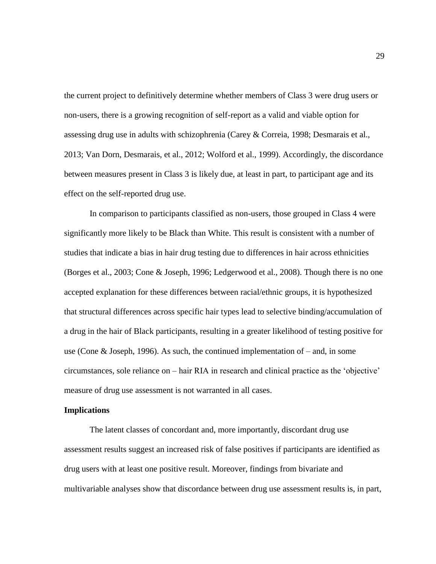the current project to definitively determine whether members of Class 3 were drug users or non-users, there is a growing recognition of self-report as a valid and viable option for assessing drug use in adults with schizophrenia (Carey & Correia, 1998; Desmarais et al., 2013; Van Dorn, Desmarais, et al., 2012; Wolford et al., 1999). Accordingly, the discordance between measures present in Class 3 is likely due, at least in part, to participant age and its effect on the self-reported drug use.

In comparison to participants classified as non-users, those grouped in Class 4 were significantly more likely to be Black than White. This result is consistent with a number of studies that indicate a bias in hair drug testing due to differences in hair across ethnicities (Borges et al., 2003; Cone & Joseph, 1996; Ledgerwood et al., 2008). Though there is no one accepted explanation for these differences between racial/ethnic groups, it is hypothesized that structural differences across specific hair types lead to selective binding/accumulation of a drug in the hair of Black participants, resulting in a greater likelihood of testing positive for use (Cone & Joseph, 1996). As such, the continued implementation of – and, in some circumstances, sole reliance on – hair RIA in research and clinical practice as the 'objective' measure of drug use assessment is not warranted in all cases.

#### **Implications**

The latent classes of concordant and, more importantly, discordant drug use assessment results suggest an increased risk of false positives if participants are identified as drug users with at least one positive result. Moreover, findings from bivariate and multivariable analyses show that discordance between drug use assessment results is, in part,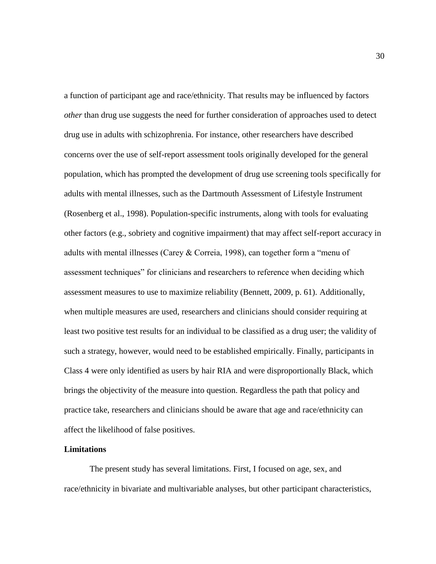a function of participant age and race/ethnicity. That results may be influenced by factors *other* than drug use suggests the need for further consideration of approaches used to detect drug use in adults with schizophrenia. For instance, other researchers have described concerns over the use of self-report assessment tools originally developed for the general population, which has prompted the development of drug use screening tools specifically for adults with mental illnesses, such as the Dartmouth Assessment of Lifestyle Instrument (Rosenberg et al., 1998). Population-specific instruments, along with tools for evaluating other factors (e.g., sobriety and cognitive impairment) that may affect self-report accuracy in adults with mental illnesses (Carey & Correia, 1998), can together form a "menu of assessment techniques" for clinicians and researchers to reference when deciding which assessment measures to use to maximize reliability (Bennett, 2009, p. 61). Additionally, when multiple measures are used, researchers and clinicians should consider requiring at least two positive test results for an individual to be classified as a drug user; the validity of such a strategy, however, would need to be established empirically. Finally, participants in Class 4 were only identified as users by hair RIA and were disproportionally Black, which brings the objectivity of the measure into question. Regardless the path that policy and practice take, researchers and clinicians should be aware that age and race/ethnicity can affect the likelihood of false positives.

#### **Limitations**

The present study has several limitations. First, I focused on age, sex, and race/ethnicity in bivariate and multivariable analyses, but other participant characteristics,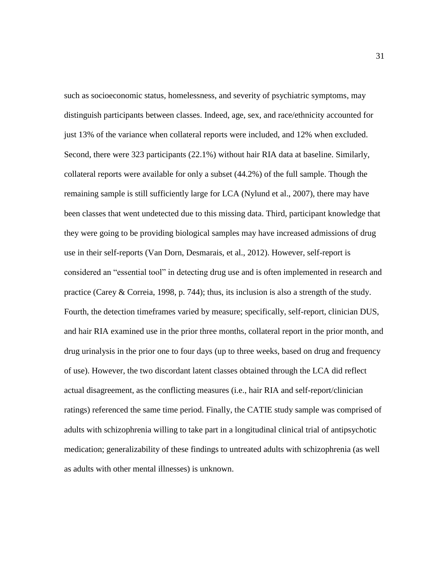such as socioeconomic status, homelessness, and severity of psychiatric symptoms, may distinguish participants between classes. Indeed, age, sex, and race/ethnicity accounted for just 13% of the variance when collateral reports were included, and 12% when excluded. Second, there were 323 participants (22.1%) without hair RIA data at baseline. Similarly, collateral reports were available for only a subset (44.2%) of the full sample. Though the remaining sample is still sufficiently large for LCA (Nylund et al., 2007), there may have been classes that went undetected due to this missing data. Third, participant knowledge that they were going to be providing biological samples may have increased admissions of drug use in their self-reports (Van Dorn, Desmarais, et al., 2012). However, self-report is considered an "essential tool" in detecting drug use and is often implemented in research and practice (Carey & Correia, 1998, p. 744); thus, its inclusion is also a strength of the study. Fourth, the detection timeframes varied by measure; specifically, self-report, clinician DUS, and hair RIA examined use in the prior three months, collateral report in the prior month, and drug urinalysis in the prior one to four days (up to three weeks, based on drug and frequency of use). However, the two discordant latent classes obtained through the LCA did reflect actual disagreement, as the conflicting measures (i.e., hair RIA and self-report/clinician ratings) referenced the same time period. Finally, the CATIE study sample was comprised of adults with schizophrenia willing to take part in a longitudinal clinical trial of antipsychotic medication; generalizability of these findings to untreated adults with schizophrenia (as well as adults with other mental illnesses) is unknown.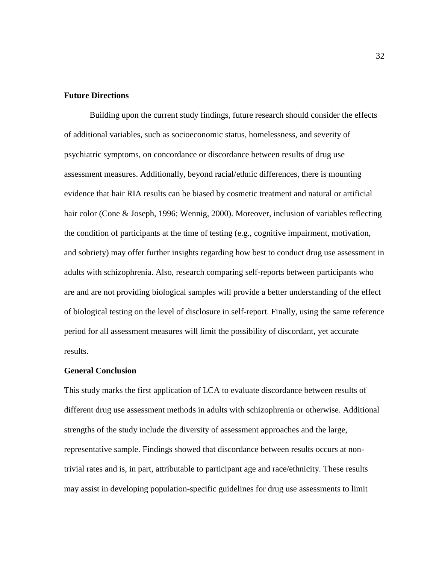### **Future Directions**

Building upon the current study findings, future research should consider the effects of additional variables, such as socioeconomic status, homelessness, and severity of psychiatric symptoms, on concordance or discordance between results of drug use assessment measures. Additionally, beyond racial/ethnic differences, there is mounting evidence that hair RIA results can be biased by cosmetic treatment and natural or artificial hair color (Cone & Joseph, 1996; Wennig, 2000). Moreover, inclusion of variables reflecting the condition of participants at the time of testing (e.g., cognitive impairment, motivation, and sobriety) may offer further insights regarding how best to conduct drug use assessment in adults with schizophrenia. Also, research comparing self-reports between participants who are and are not providing biological samples will provide a better understanding of the effect of biological testing on the level of disclosure in self-report. Finally, using the same reference period for all assessment measures will limit the possibility of discordant, yet accurate results.

#### **General Conclusion**

This study marks the first application of LCA to evaluate discordance between results of different drug use assessment methods in adults with schizophrenia or otherwise. Additional strengths of the study include the diversity of assessment approaches and the large, representative sample. Findings showed that discordance between results occurs at nontrivial rates and is, in part, attributable to participant age and race/ethnicity. These results may assist in developing population-specific guidelines for drug use assessments to limit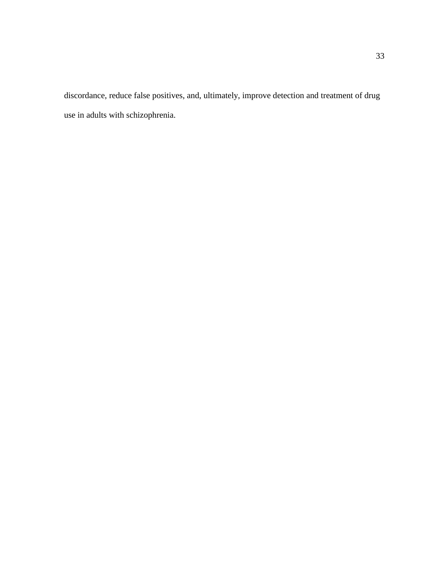discordance, reduce false positives, and, ultimately, improve detection and treatment of drug use in adults with schizophrenia.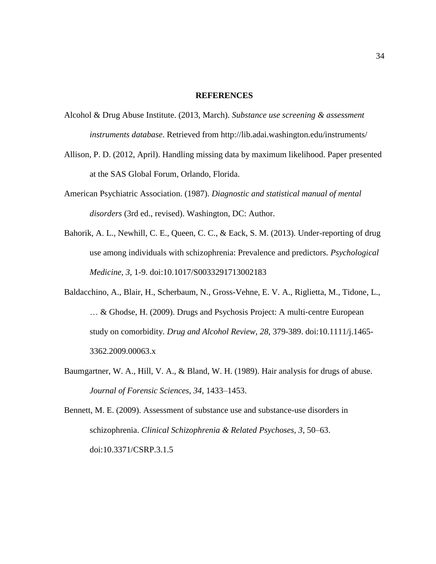#### **REFERENCES**

- Alcohol & Drug Abuse Institute. (2013, March). *Substance use screening & assessment instruments database*. Retrieved from http://lib.adai.washington.edu/instruments/
- Allison, P. D. (2012, April). Handling missing data by maximum likelihood. Paper presented at the SAS Global Forum, Orlando, Florida.
- American Psychiatric Association. (1987). *Diagnostic and statistical manual of mental disorders* (3rd ed., revised). Washington, DC: Author.
- Bahorik, A. L., Newhill, C. E., Queen, C. C., & Eack, S. M. (2013). Under-reporting of drug use among individuals with schizophrenia: Prevalence and predictors. *Psychological Medicine, 3*, 1-9. doi:10.1017/S0033291713002183
- Baldacchino, A., Blair, H., Scherbaum, N., Gross-Vehne, E. V. A., Riglietta, M., Tidone, L., … & Ghodse, H. (2009). Drugs and Psychosis Project: A multi-centre European study on comorbidity*. Drug and Alcohol Review, 28,* 379-389. doi:10.1111/j.1465- 3362.2009.00063.x
- Baumgartner, W. A., Hill, V. A., & Bland, W. H. (1989). Hair analysis for drugs of abuse. *Journal of Forensic Sciences, 34,* 1433–1453.

Bennett, M. E. (2009). Assessment of substance use and substance-use disorders in schizophrenia. *Clinical Schizophrenia & Related Psychoses, 3*, 50–63. doi:10.3371/CSRP.3.1.5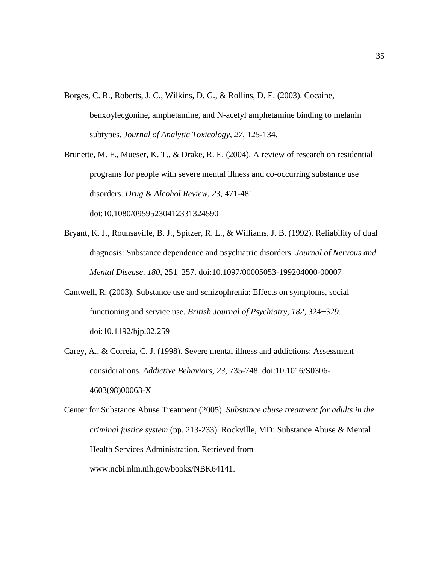- Borges, C. R., Roberts, J. C., Wilkins, D. G., & Rollins, D. E. (2003). Cocaine, benxoylecgonine, amphetamine, and N-acetyl amphetamine binding to melanin subtypes. *Journal of Analytic Toxicology, 27*, 125-134.
- Brunette, M. F., Mueser, K. T., & Drake, R. E. (2004). A review of research on residential programs for people with severe mental illness and co-occurring substance use disorders. *Drug & Alcohol Review, 23*, 471-481. doi:10.1080/09595230412331324590
- Bryant, K. J., Rounsaville, B. J., Spitzer, R. L., & Williams, J. B. (1992). Reliability of dual diagnosis: Substance dependence and psychiatric disorders. *Journal of Nervous and Mental Disease, 180,* 251–257. doi:10.1097/00005053-199204000-00007
- Cantwell, R. (2003). Substance use and schizophrenia: Effects on symptoms, social functioning and service use. *British Journal of Psychiatry, 182,* 324−329. doi:10.1192/bjp.02.259
- Carey, A., & Correia, C. J. (1998). Severe mental illness and addictions: Assessment considerations. *Addictive Behaviors, 23*, 735-748. doi:10.1016/S0306- 4603(98)00063-X

Center for Substance Abuse Treatment (2005). *Substance abuse treatment for adults in the criminal justice system* (pp. 213-233). Rockville, MD: Substance Abuse & Mental Health Services Administration. Retrieved from www.ncbi.nlm.nih.gov/books/NBK64141.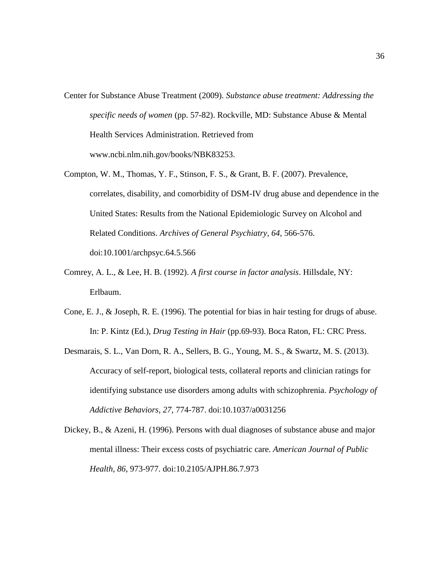- Center for Substance Abuse Treatment (2009). *Substance abuse treatment: Addressing the specific needs of women* (pp. 57-82). Rockville, MD: Substance Abuse & Mental Health Services Administration. Retrieved from www.ncbi.nlm.nih.gov/books/NBK83253.
- Compton, W. M., Thomas, Y. F., Stinson, F. S., & Grant, B. F. (2007). Prevalence, correlates, disability, and comorbidity of DSM-IV drug abuse and dependence in the United States: Results from the National Epidemiologic Survey on Alcohol and Related Conditions. *Archives of General Psychiatry, 64,* 566-576. doi:10.1001/archpsyc.64.5.566
- Comrey, A. L., & Lee, H. B. (1992). *A first course in factor analysis*. Hillsdale, NY: Erlbaum.
- Cone, E. J., & Joseph, R. E. (1996). The potential for bias in hair testing for drugs of abuse. In: P. Kintz (Ed.), *Drug Testing in Hair* (pp.69-93). Boca Raton, FL: CRC Press.
- Desmarais, S. L., Van Dorn, R. A., Sellers, B. G., Young, M. S., & Swartz, M. S. (2013). Accuracy of self-report, biological tests, collateral reports and clinician ratings for identifying substance use disorders among adults with schizophrenia. *Psychology of Addictive Behaviors, 27,* 774-787. doi:10.1037/a0031256
- Dickey, B., & Azeni, H. (1996). Persons with dual diagnoses of substance abuse and major mental illness: Their excess costs of psychiatric care. *American Journal of Public Health, 86*, 973-977. doi:10.2105/AJPH.86.7.973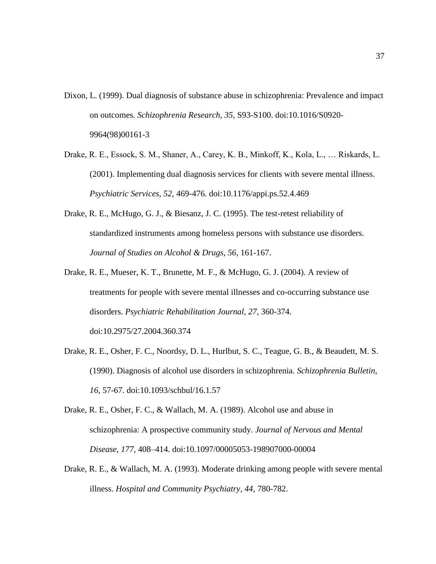- Dixon, L. (1999). Dual diagnosis of substance abuse in schizophrenia: Prevalence and impact on outcomes. *Schizophrenia Research, 35,* S93-S100. doi:10.1016/S0920- 9964(98)00161-3
- Drake, R. E., Essock, S. M., Shaner, A., Carey, K. B., Minkoff, K., Kola, L., … Riskards, L. (2001). Implementing dual diagnosis services for clients with severe mental illness. *Psychiatric Services, 52,* 469-476. doi:10.1176/appi.ps.52.4.469
- Drake, R. E., McHugo, G. J., & Biesanz, J. C. (1995). The test-retest reliability of standardized instruments among homeless persons with substance use disorders. *Journal of Studies on Alcohol & Drugs, 56,* 161-167.
- Drake, R. E., Mueser, K. T., Brunette, M. F., & McHugo, G. J. (2004). A review of treatments for people with severe mental illnesses and co-occurring substance use disorders. *Psychiatric Rehabilitation Journal, 27,* 360-374. doi:10.2975/27.2004.360.374
- Drake, R. E., Osher, F. C., Noordsy, D. L., Hurlbut, S. C., Teague, G. B., & Beaudett, M. S. (1990). Diagnosis of alcohol use disorders in schizophrenia. *Schizophrenia Bulletin, 16,* 57-67. doi:10.1093/schbul/16.1.57
- Drake, R. E., Osher, F. C., & Wallach, M. A. (1989). Alcohol use and abuse in schizophrenia: A prospective community study. *Journal of Nervous and Mental Disease, 177,* 408–414. doi:10.1097/00005053-198907000-00004
- Drake, R. E., & Wallach, M. A. (1993). Moderate drinking among people with severe mental illness. *Hospital and Community Psychiatry, 44*, 780-782.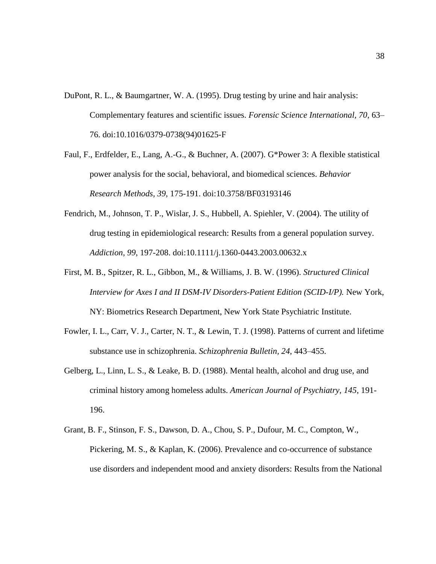- DuPont, R. L., & Baumgartner, W. A. (1995). Drug testing by urine and hair analysis: Complementary features and scientific issues. *Forensic Science International, 70*, 63– 76. doi:10.1016/0379-0738(94)01625-F
- Faul, F., Erdfelder, E., Lang, A.-G., & Buchner, A. (2007). G\*Power 3: A flexible statistical power analysis for the social, behavioral, and biomedical sciences. *Behavior Research Methods, 39,* 175-191. doi:10.3758/BF03193146
- Fendrich, M., Johnson, T. P., Wislar, J. S., Hubbell, A. Spiehler, V. (2004). The utility of drug testing in epidemiological research: Results from a general population survey. *Addiction, 99*, 197-208. doi:10.1111/j.1360-0443.2003.00632.x
- First, M. B., Spitzer, R. L., Gibbon, M., & Williams, J. B. W. (1996). *Structured Clinical Interview for Axes I and II DSM-IV Disorders-Patient Edition (SCID-I/P).* New York, NY: Biometrics Research Department, New York State Psychiatric Institute.
- Fowler, I. L., Carr, V. J., Carter, N. T., & Lewin, T. J. (1998). Patterns of current and lifetime substance use in schizophrenia. *Schizophrenia Bulletin, 24*, 443–455.
- Gelberg, L., Linn, L. S., & Leake, B. D. (1988). Mental health, alcohol and drug use, and criminal history among homeless adults. *American Journal of Psychiatry, 145*, 191- 196.
- Grant, B. F., Stinson, F. S., Dawson, D. A., Chou, S. P., Dufour, M. C., Compton, W., Pickering, M. S., & Kaplan, K. (2006). Prevalence and co-occurrence of substance use disorders and independent mood and anxiety disorders: Results from the National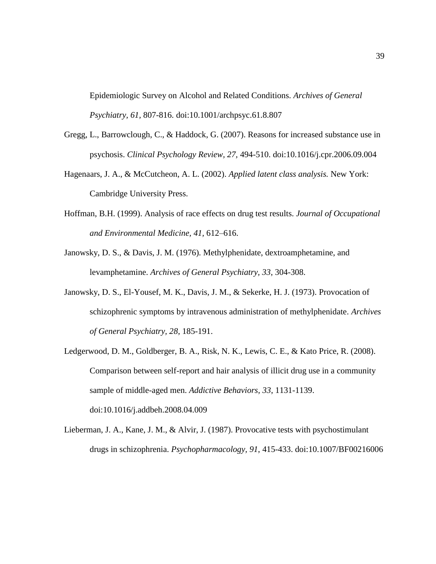Epidemiologic Survey on Alcohol and Related Conditions. *Archives of General Psychiatry, 61,* 807-816. doi:10.1001/archpsyc.61.8.807

- Gregg, L., Barrowclough, C., & Haddock, G. (2007). Reasons for increased substance use in psychosis. *Clinical Psychology Review, 27,* 494-510. doi:10.1016/j.cpr.2006.09.004
- Hagenaars, J. A., & McCutcheon, A. L. (2002). *Applied latent class analysis.* New York: Cambridge University Press.
- Hoffman, B.H. (1999). Analysis of race effects on drug test results. *Journal of Occupational and Environmental Medicine, 41,* 612–616.
- Janowsky, D. S., & Davis, J. M. (1976). Methylphenidate, dextroamphetamine, and levamphetamine. *Archives of General Psychiatry, 33*, 304-308.
- Janowsky, D. S., El-Yousef, M. K., Davis, J. M., & Sekerke, H. J. (1973). Provocation of schizophrenic symptoms by intravenous administration of methylphenidate. *Archives of General Psychiatry, 28*, 185-191.
- Ledgerwood, D. M., Goldberger, B. A., Risk, N. K., Lewis, C. E., & Kato Price, R. (2008). Comparison between self-report and hair analysis of illicit drug use in a community sample of middle-aged men. *Addictive Behaviors, 33*, 1131-1139. doi:10.1016/j.addbeh.2008.04.009
- Lieberman, J. A., Kane, J. M., & Alvir, J. (1987). Provocative tests with psychostimulant drugs in schizophrenia. *Psychopharmacology, 91*, 415-433. doi:10.1007/BF00216006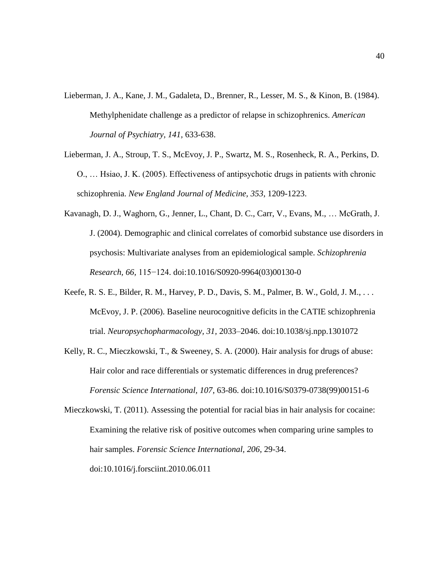- Lieberman, J. A., Kane, J. M., Gadaleta, D., Brenner, R., Lesser, M. S., & Kinon, B. (1984). Methylphenidate challenge as a predictor of relapse in schizophrenics. *American Journal of Psychiatry, 141,* 633-638.
- Lieberman, J. A., Stroup, T. S., McEvoy, J. P., Swartz, M. S., Rosenheck, R. A., Perkins, D. O., … Hsiao, J. K. (2005). Effectiveness of antipsychotic drugs in patients with chronic schizophrenia. *New England Journal of Medicine, 353*, 1209-1223.
- Kavanagh, D. J., Waghorn, G., Jenner, L., Chant, D. C., Carr, V., Evans, M., … McGrath, J. J. (2004). Demographic and clinical correlates of comorbid substance use disorders in psychosis: Multivariate analyses from an epidemiological sample. *Schizophrenia Research, 66,* 115−124. doi:10.1016/S0920-9964(03)00130-0
- Keefe, R. S. E., Bilder, R. M., Harvey, P. D., Davis, S. M., Palmer, B. W., Gold, J. M., . . . McEvoy, J. P. (2006). Baseline neurocognitive deficits in the CATIE schizophrenia trial. *Neuropsychopharmacology, 31,* 2033–2046. doi:10.1038/sj.npp.1301072
- Kelly, R. C., Mieczkowski, T., & Sweeney, S. A. (2000). Hair analysis for drugs of abuse: Hair color and race differentials or systematic differences in drug preferences? *Forensic Science International, 107*, 63-86. doi:10.1016/S0379-0738(99)00151-6

Mieczkowski, T. (2011). Assessing the potential for racial bias in hair analysis for cocaine: Examining the relative risk of positive outcomes when comparing urine samples to hair samples. *Forensic Science International, 206*, 29-34. doi:10.1016/j.forsciint.2010.06.011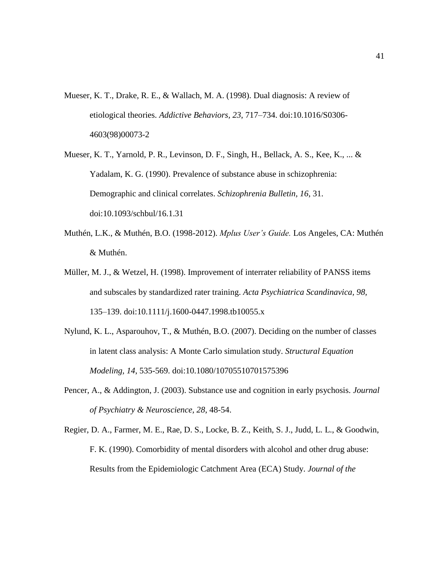- Mueser, K. T., Drake, R. E., & Wallach, M. A. (1998). Dual diagnosis: A review of etiological theories. *Addictive Behaviors, 23*, 717–734. doi:10.1016/S0306- 4603(98)00073-2
- Mueser, K. T., Yarnold, P. R., Levinson, D. F., Singh, H., Bellack, A. S., Kee, K., ... & Yadalam, K. G. (1990). Prevalence of substance abuse in schizophrenia: Demographic and clinical correlates. *Schizophrenia Bulletin, 16*, 31. doi:10.1093/schbul/16.1.31
- Muthén, L.K., & Muthén, B.O. (1998-2012). *Mplus User's Guide.* Los Angeles, CA: Muthén & Muthén.
- Müller, M. J., & Wetzel, H. (1998). Improvement of interrater reliability of PANSS items and subscales by standardized rater training. *Acta Psychiatrica Scandinavica, 98,* 135–139. doi:10.1111/j.1600-0447.1998.tb10055.x
- Nylund, K. L., Asparouhov, T., & Muthén, B.O. (2007). Deciding on the number of classes in latent class analysis: A Monte Carlo simulation study. *Structural Equation Modeling, 14*, 535-569. doi:10.1080/10705510701575396
- Pencer, A., & Addington, J. (2003). Substance use and cognition in early psychosis. *Journal of Psychiatry & Neuroscience, 28*, 48-54.
- Regier, D. A., Farmer, M. E., Rae, D. S., Locke, B. Z., Keith, S. J., Judd, L. L., & Goodwin, F. K. (1990). Comorbidity of mental disorders with alcohol and other drug abuse: Results from the Epidemiologic Catchment Area (ECA) Study. *Journal of the*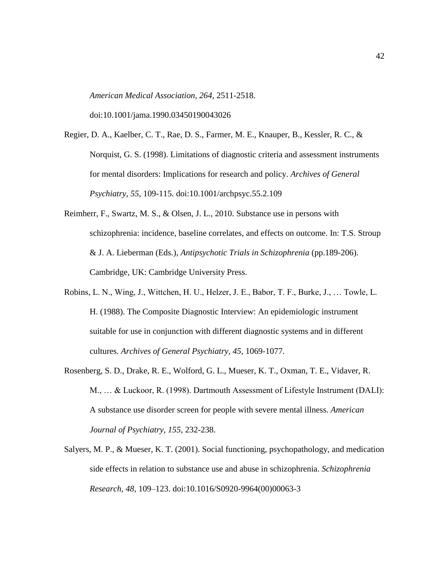*American Medical Association, 264*, 2511-2518.

doi:10.1001/jama.1990.03450190043026

Regier, D. A., Kaelber, C. T., Rae, D. S., Farmer, M. E., Knauper, B., Kessler, R. C., & Norquist, G. S. (1998). Limitations of diagnostic criteria and assessment instruments for mental disorders: Implications for research and policy. *Archives of General Psychiatry, 55*, 109-115. doi:10.1001/archpsyc.55.2.109

- Reimherr, F., Swartz, M. S., & Olsen, J. L., 2010. Substance use in persons with schizophrenia: incidence, baseline correlates, and effects on outcome. In: T.S. Stroup & J. A. Lieberman (Eds.), *Antipsychotic Trials in Schizophrenia* (pp.189-206). Cambridge, UK: Cambridge University Press.
- Robins, L. N., Wing, J., Wittchen, H. U., Helzer, J. E., Babor, T. F., Burke, J., … Towle, L. H. (1988). The Composite Diagnostic Interview: An epidemiologic instrument suitable for use in conjunction with different diagnostic systems and in different cultures. *Archives of General Psychiatry, 45*, 1069-1077.
- Rosenberg, S. D., Drake, R. E., Wolford, G. L., Mueser, K. T., Oxman, T. E., Vidaver, R. M., … & Luckoor, R. (1998). Dartmouth Assessment of Lifestyle Instrument (DALI): A substance use disorder screen for people with severe mental illness. *American Journal of Psychiatry, 155*, 232-238.
- Salyers, M. P., & Mueser, K. T. (2001). Social functioning, psychopathology, and medication side effects in relation to substance use and abuse in schizophrenia. *Schizophrenia Research, 48,* 109–123. doi:10.1016/S0920-9964(00)00063-3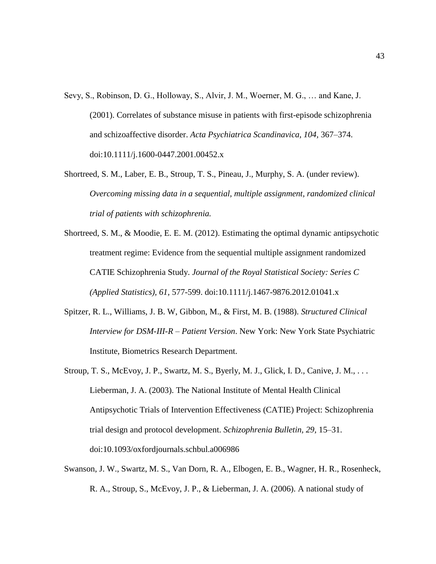- Sevy, S., Robinson, D. G., Holloway, S., Alvir, J. M., Woerner, M. G., … and Kane, J. (2001). Correlates of substance misuse in patients with first-episode schizophrenia and schizoaffective disorder. *Acta Psychiatrica Scandinavica, 104,* 367–374. doi:10.1111/j.1600-0447.2001.00452.x
- Shortreed, S. M., Laber, E. B., Stroup, T. S., Pineau, J., Murphy, S. A. (under review). *Overcoming missing data in a sequential, multiple assignment, randomized clinical trial of patients with schizophrenia.*
- Shortreed, S. M., & Moodie, E. E. M. (2012). Estimating the optimal dynamic antipsychotic treatment regime: Evidence from the sequential multiple assignment randomized CATIE Schizophrenia Study. *Journal of the Royal Statistical Society: Series C (Applied Statistics), 61,* 577-599. doi:10.1111/j.1467-9876.2012.01041.x
- Spitzer, R. L., Williams, J. B. W, Gibbon, M., & First, M. B. (1988). *Structured Clinical Interview for DSM-III-R – Patient Version*. New York: New York State Psychiatric Institute, Biometrics Research Department.
- Stroup, T. S., McEvoy, J. P., Swartz, M. S., Byerly, M. J., Glick, I. D., Canive, J. M., . . . Lieberman, J. A. (2003). The National Institute of Mental Health Clinical Antipsychotic Trials of Intervention Effectiveness (CATIE) Project: Schizophrenia trial design and protocol development. *Schizophrenia Bulletin, 29,* 15–31. doi:10.1093/oxfordjournals.schbul.a006986
- Swanson, J. W., Swartz, M. S., Van Dorn, R. A., Elbogen, E. B., Wagner, H. R., Rosenheck, R. A., Stroup, S., McEvoy, J. P., & Lieberman, J. A. (2006). A national study of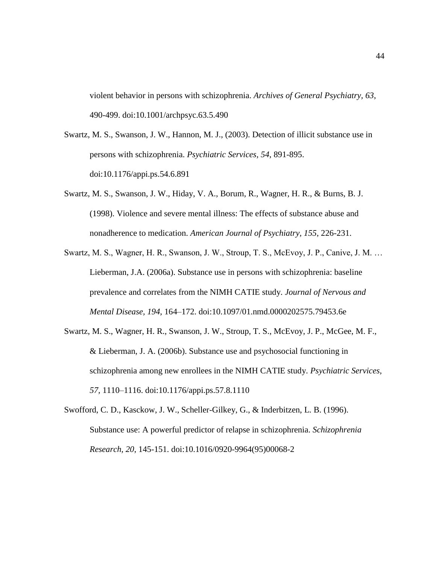violent behavior in persons with schizophrenia. *Archives of General Psychiatry, 63*, 490-499. doi:10.1001/archpsyc.63.5.490

- Swartz, M. S., Swanson, J. W., Hannon, M. J., (2003). Detection of illicit substance use in persons with schizophrenia. *Psychiatric Services, 54*, 891-895. doi:10.1176/appi.ps.54.6.891
- Swartz, M. S., Swanson, J. W., Hiday, V. A., Borum, R., Wagner, H. R., & Burns, B. J. (1998). Violence and severe mental illness: The effects of substance abuse and nonadherence to medication. *American Journal of Psychiatry, 155*, 226-231.
- Swartz, M. S., Wagner, H. R., Swanson, J. W., Stroup, T. S., McEvoy, J. P., Canive, J. M. … Lieberman, J.A. (2006a). Substance use in persons with schizophrenia: baseline prevalence and correlates from the NIMH CATIE study. *Journal of Nervous and Mental Disease, 194,* 164–172. doi:10.1097/01.nmd.0000202575.79453.6e
- Swartz, M. S., Wagner, H. R., Swanson, J. W., Stroup, T. S., McEvoy, J. P., McGee, M. F., & Lieberman, J. A. (2006b). Substance use and psychosocial functioning in schizophrenia among new enrollees in the NIMH CATIE study. *Psychiatric Services, 57,* 1110–1116. doi:10.1176/appi.ps.57.8.1110

Swofford, C. D., Kasckow, J. W., Scheller-Gilkey, G., & Inderbitzen, L. B. (1996). Substance use: A powerful predictor of relapse in schizophrenia. *Schizophrenia Research, 20*, 145-151. doi:10.1016/0920-9964(95)00068-2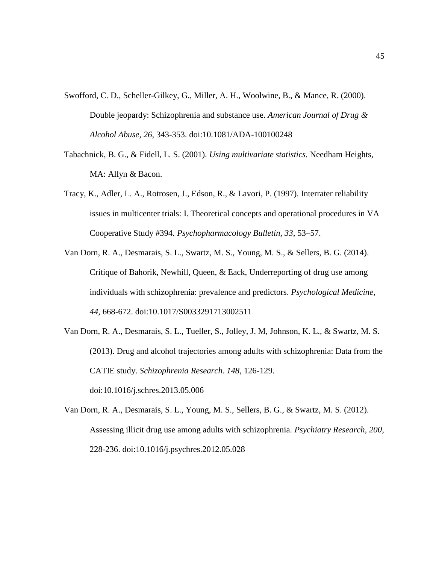- Swofford, C. D., Scheller-Gilkey, G., Miller, A. H., Woolwine, B., & Mance, R. (2000). Double jeopardy: Schizophrenia and substance use. *American Journal of Drug & Alcohol Abuse, 26*, 343-353. doi:10.1081/ADA-100100248
- Tabachnick, B. G., & Fidell, L. S. (2001). *Using multivariate statistics.* Needham Heights, MA: Allyn & Bacon.
- Tracy, K., Adler, L. A., Rotrosen, J., Edson, R., & Lavori, P. (1997). Interrater reliability issues in multicenter trials: I. Theoretical concepts and operational procedures in VA Cooperative Study #394. *Psychopharmacology Bulletin, 33,* 53–57.
- Van Dorn, R. A., Desmarais, S. L., Swartz, M. S., Young, M. S., & Sellers, B. G. (2014). Critique of Bahorik, Newhill, Queen, & Eack, Underreporting of drug use among individuals with schizophrenia: prevalence and predictors. *Psychological Medicine, 44,* 668-672. doi:10.1017/S0033291713002511
- Van Dorn, R. A., Desmarais, S. L., Tueller, S., Jolley, J. M, Johnson, K. L., & Swartz, M. S. (2013). Drug and alcohol trajectories among adults with schizophrenia: Data from the CATIE study. *Schizophrenia Research. 148,* 126-129. doi:10.1016/j.schres.2013.05.006
- Van Dorn, R. A., Desmarais, S. L., Young, M. S., Sellers, B. G., & Swartz, M. S. (2012). Assessing illicit drug use among adults with schizophrenia. *Psychiatry Research, 200*, 228-236. doi:10.1016/j.psychres.2012.05.028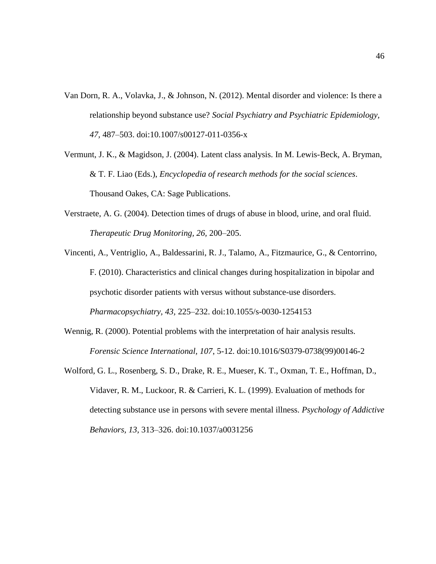- Van Dorn, R. A., Volavka, J., & Johnson, N. (2012). Mental disorder and violence: Is there a relationship beyond substance use? *Social Psychiatry and Psychiatric Epidemiology, 47,* 487–503. doi:10.1007/s00127-011-0356-x
- Vermunt, J. K., & Magidson, J. (2004). Latent class analysis. In M. Lewis-Beck, A. Bryman, & T. F. Liao (Eds.), *Encyclopedia of research methods for the social sciences*. Thousand Oakes, CA: Sage Publications.
- Verstraete, A. G. (2004). Detection times of drugs of abuse in blood, urine, and oral fluid. *Therapeutic Drug Monitoring, 26,* 200–205.
- Vincenti, A., Ventriglio, A., Baldessarini, R. J., Talamo, A., Fitzmaurice, G., & Centorrino, F. (2010). Characteristics and clinical changes during hospitalization in bipolar and psychotic disorder patients with versus without substance-use disorders. *Pharmacopsychiatry, 43,* 225–232. doi:10.1055/s-0030-1254153
- Wennig, R. (2000). Potential problems with the interpretation of hair analysis results. *Forensic Science International, 107*, 5-12. doi:10.1016/S0379-0738(99)00146-2
- Wolford, G. L., Rosenberg, S. D., Drake, R. E., Mueser, K. T., Oxman, T. E., Hoffman, D., Vidaver, R. M., Luckoor, R. & Carrieri, K. L. (1999). Evaluation of methods for detecting substance use in persons with severe mental illness. *Psychology of Addictive Behaviors, 13,* 313–326. doi:10.1037/a0031256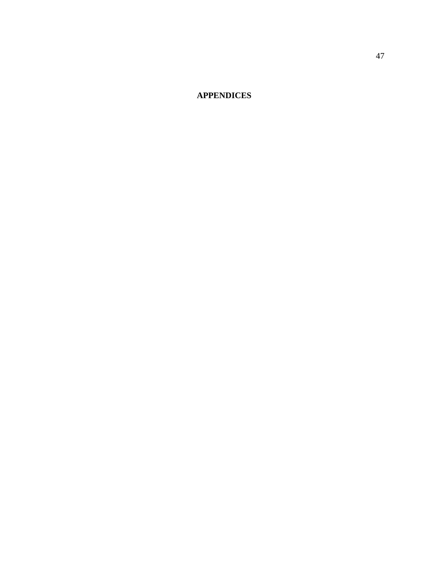**APPENDICES**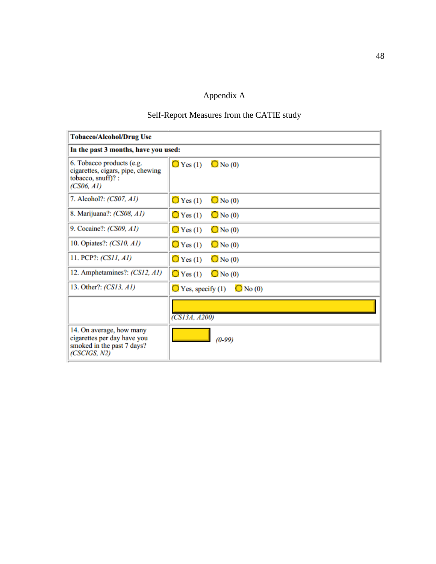# Appendix A

# Self-Report Measures from the CATIE study

II.

| <b>Tobacco/Alcohol/Drug Use</b>                                                                       |                                                  |
|-------------------------------------------------------------------------------------------------------|--------------------------------------------------|
| In the past 3 months, have you used:                                                                  |                                                  |
| 6. Tobacco products (e.g.<br>cigarettes, cigars, pipe, chewing<br>tobacco, snuff)? :<br>(CS06, AI)    | $\bigcirc$ Yes (1) $\bigcirc$ No (0)             |
| 7. Alcohol?: (CS07, A1)                                                                               | $\bigcirc$ Yes (1)<br>$\bigcirc$ No (0)          |
| 8. Marijuana?: (CS08, A1)                                                                             | $\bigcirc$ Yes (1)<br>$\bigcirc$ No (0)          |
| 9. Cocaine?: (CS09, A1)                                                                               | $\bigcirc$ Yes (1)<br>$\bigcirc$ No (0)          |
| 10. Opiates?: (CS10, A1)                                                                              | $\bigcirc$ Yes (1)<br>$\bigcirc$ No (0)          |
| 11. PCP?: (CS11, A1)                                                                                  | $\bigcirc$ Yes (1)<br>$\bigcirc$ No (0)          |
| 12. Amphetamines?: (CS12, A1)                                                                         | $\bigcirc$ Yes (1)<br>$\bigcirc$ No (0)          |
| 13. Other?: (CS13, A1)                                                                                | $\bigcirc$ No (0)<br>$\bigcirc$ Yes, specify (1) |
|                                                                                                       | $\overline{\text{CS13}}\text{A}, \text{A200}$    |
| 14. On average, how many<br>cigarettes per day have you<br>smoked in the past 7 days?<br>(CSCIGS, N2) | $(0-99)$                                         |

 $\overline{a}$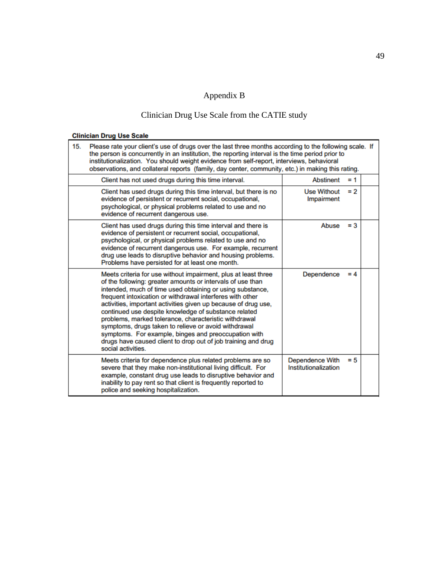# Appendix B

# Clinician Drug Use Scale from the CATIE study

## **Clinician Drug Use Scale**

| 15.                                                                      | Please rate your client's use of drugs over the last three months according to the following scale. If<br>the person is concurrently in an institution, the reporting interval is the time period prior to<br>institutionalization. You should weight evidence from self-report, interviews, behavioral<br>observations, and collateral reports (family, day center, community, etc.) in making this rating.                                                                                                                                                                                                                                     |                                                |       |  |  |  |  |  |  |
|--------------------------------------------------------------------------|--------------------------------------------------------------------------------------------------------------------------------------------------------------------------------------------------------------------------------------------------------------------------------------------------------------------------------------------------------------------------------------------------------------------------------------------------------------------------------------------------------------------------------------------------------------------------------------------------------------------------------------------------|------------------------------------------------|-------|--|--|--|--|--|--|
| <b>Abstinent</b><br>Client has not used drugs during this time interval. |                                                                                                                                                                                                                                                                                                                                                                                                                                                                                                                                                                                                                                                  |                                                |       |  |  |  |  |  |  |
|                                                                          | Client has used drugs during this time interval, but there is no<br>evidence of persistent or recurrent social, occupational,<br>psychological, or physical problems related to use and no<br>evidence of recurrent dangerous use.                                                                                                                                                                                                                                                                                                                                                                                                               | <b>Use Without</b><br>Impairment               | $= 2$ |  |  |  |  |  |  |
|                                                                          | Client has used drugs during this time interval and there is<br>evidence of persistent or recurrent social, occupational,<br>psychological, or physical problems related to use and no<br>evidence of recurrent dangerous use. For example, recurrent<br>drug use leads to disruptive behavior and housing problems.<br>Problems have persisted for at least one month.                                                                                                                                                                                                                                                                          | Abuse                                          | $=$ 3 |  |  |  |  |  |  |
|                                                                          | Meets criteria for use without impairment, plus at least three<br>of the following: greater amounts or intervals of use than<br>intended, much of time used obtaining or using substance,<br>frequent intoxication or withdrawal interferes with other<br>activities, important activities given up because of drug use,<br>continued use despite knowledge of substance related<br>problems, marked tolerance, characteristic withdrawal<br>symptoms, drugs taken to relieve or avoid withdrawal<br>symptoms. For example, binges and preoccupation with<br>drugs have caused client to drop out of job training and drug<br>social activities. | Dependence                                     | $= 4$ |  |  |  |  |  |  |
|                                                                          | Meets criteria for dependence plus related problems are so<br>severe that they make non-institutional living difficult. For<br>example, constant drug use leads to disruptive behavior and<br>inability to pay rent so that client is frequently reported to<br>police and seeking hospitalization.                                                                                                                                                                                                                                                                                                                                              | <b>Dependence With</b><br>Institutionalization | $= 5$ |  |  |  |  |  |  |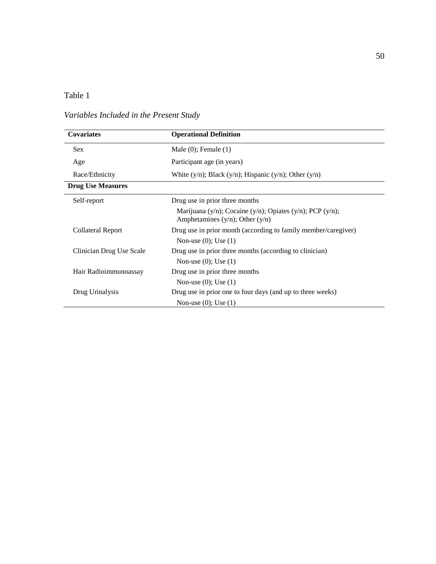# *Variables Included in the Present Study*

| Covariates               | <b>Operational Definition</b>                                                                     |
|--------------------------|---------------------------------------------------------------------------------------------------|
| <b>Sex</b>               | Male $(0)$ ; Female $(1)$                                                                         |
| Age                      | Participant age (in years)                                                                        |
| Race/Ethnicity           | White $(y/n)$ ; Black $(y/n)$ ; Hispanic $(y/n)$ ; Other $(y/n)$                                  |
| <b>Drug Use Measures</b> |                                                                                                   |
| Self-report              | Drug use in prior three months                                                                    |
|                          | Marijuana (y/n); Cocaine (y/n); Opiates (y/n); PCP (y/n);<br>Amphetamines $(y/n)$ ; Other $(y/n)$ |
| Collateral Report        | Drug use in prior month (according to family member/caregiver)                                    |
|                          | Non-use $(0)$ ; Use $(1)$                                                                         |
| Clinician Drug Use Scale | Drug use in prior three months (according to clinician)                                           |
|                          | Non-use $(0)$ ; Use $(1)$                                                                         |
| Hair Radioimmunoassay    | Drug use in prior three months                                                                    |
|                          | Non-use $(0)$ ; Use $(1)$                                                                         |
| Drug Urinalysis          | Drug use in prior one to four days (and up to three weeks)                                        |
|                          | Non-use $(0)$ ; Use $(1)$                                                                         |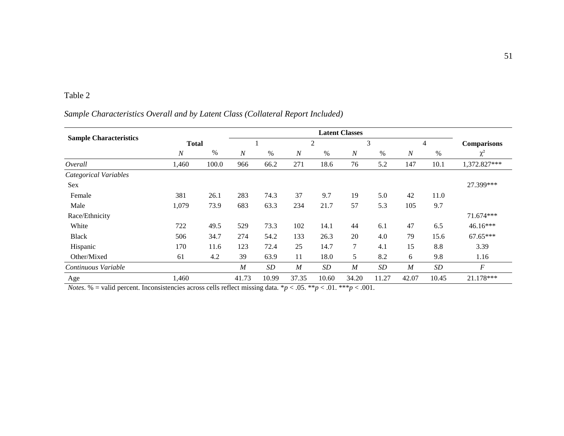## *Sample Characteristics Overall and by Latent Class (Collateral Report Included)*

| <b>Sample Characteristics</b> | <b>Total</b>   |       |                  |       | 2                |       | 3                |       | 4                |       | <b>Comparisons</b> |
|-------------------------------|----------------|-------|------------------|-------|------------------|-------|------------------|-------|------------------|-------|--------------------|
|                               | $\overline{N}$ | $\%$  | $\overline{N}$   | $\%$  | $\boldsymbol{N}$ | %     | $\boldsymbol{N}$ | $\%$  | $\overline{N}$   | $\%$  | $\chi^2$           |
| Overall                       | 1,460          | 100.0 | 966              | 66.2  | 271              | 18.6  | 76               | 5.2   | 147              | 10.1  | 1,372.827***       |
| Categorical Variables         |                |       |                  |       |                  |       |                  |       |                  |       |                    |
| <b>Sex</b>                    |                |       |                  |       |                  |       |                  |       |                  |       | 27.399***          |
| Female                        | 381            | 26.1  | 283              | 74.3  | 37               | 9.7   | 19               | 5.0   | 42               | 11.0  |                    |
| Male                          | 1,079          | 73.9  | 683              | 63.3  | 234              | 21.7  | 57               | 5.3   | 105              | 9.7   |                    |
| Race/Ethnicity                |                |       |                  |       |                  |       |                  |       |                  |       | 71.674***          |
| White                         | 722            | 49.5  | 529              | 73.3  | 102              | 14.1  | 44               | 6.1   | 47               | 6.5   | 46.16***           |
| <b>Black</b>                  | 506            | 34.7  | 274              | 54.2  | 133              | 26.3  | 20               | 4.0   | 79               | 15.6  | 67.65***           |
| Hispanic                      | 170            | 11.6  | 123              | 72.4  | 25               | 14.7  | 7                | 4.1   | 15               | 8.8   | 3.39               |
| Other/Mixed                   | 61             | 4.2   | 39               | 63.9  | 11               | 18.0  | 5                | 8.2   | 6                | 9.8   | 1.16               |
| Continuous Variable           |                |       | $\boldsymbol{M}$ | SD    | $\boldsymbol{M}$ | SD    | $\boldsymbol{M}$ | SD    | $\boldsymbol{M}$ | SD    | $\cal F$           |
| Age                           | 1,460          |       | 41.73            | 10.99 | 37.35            | 10.60 | 34.20            | 11.27 | 42.07            | 10.45 | 21.178***          |

*Notes.* % = valid percent. Inconsistencies across cells reflect missing data.  $*p < .05$ .  $**p < .01$ .  $***p < .001$ .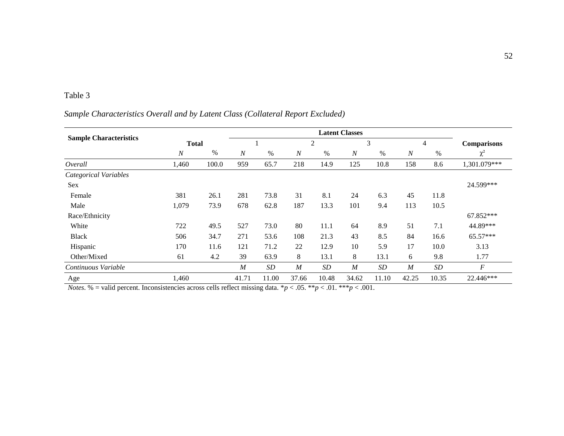## *Sample Characteristics Overall and by Latent Class (Collateral Report Excluded)*

| <b>Sample Characteristics</b> | <b>Total</b>     |       |                  |           |                  | 2         |                  | 3         |                  | 4     | <b>Comparisons</b> |
|-------------------------------|------------------|-------|------------------|-----------|------------------|-----------|------------------|-----------|------------------|-------|--------------------|
|                               | $\boldsymbol{N}$ | $\%$  | $\boldsymbol{N}$ | $\%$      | $\boldsymbol{N}$ | $\%$      | $\boldsymbol{N}$ | $\%$      | $\boldsymbol{N}$ | $\%$  | $\chi^2$           |
| Overall                       | 1,460            | 100.0 | 959              | 65.7      | 218              | 14.9      | 125              | 10.8      | 158              | 8.6   | 1,301.079***       |
| Categorical Variables         |                  |       |                  |           |                  |           |                  |           |                  |       |                    |
| <b>Sex</b>                    |                  |       |                  |           |                  |           |                  |           |                  |       | 24.599***          |
| Female                        | 381              | 26.1  | 281              | 73.8      | 31               | 8.1       | 24               | 6.3       | 45               | 11.8  |                    |
| Male                          | 1,079            | 73.9  | 678              | 62.8      | 187              | 13.3      | 101              | 9.4       | 113              | 10.5  |                    |
| Race/Ethnicity                |                  |       |                  |           |                  |           |                  |           |                  |       | 67.852***          |
| White                         | 722              | 49.5  | 527              | 73.0      | 80               | 11.1      | 64               | 8.9       | 51               | 7.1   | 44.89***           |
| <b>Black</b>                  | 506              | 34.7  | 271              | 53.6      | 108              | 21.3      | 43               | 8.5       | 84               | 16.6  | 65.57***           |
| Hispanic                      | 170              | 11.6  | 121              | 71.2      | 22               | 12.9      | 10               | 5.9       | 17               | 10.0  | 3.13               |
| Other/Mixed                   | 61               | 4.2   | 39               | 63.9      | 8                | 13.1      | 8                | 13.1      | 6                | 9.8   | 1.77               |
| Continuous Variable           |                  |       | $\boldsymbol{M}$ | <b>SD</b> | $\boldsymbol{M}$ | <b>SD</b> | $\boldsymbol{M}$ | <b>SD</b> | $\boldsymbol{M}$ | SD    | $\boldsymbol{F}$   |
| Age                           | 1,460            |       | 41.71            | 11.00     | 37.66            | 10.48     | 34.62            | 11.10     | 42.25            | 10.35 | 22.446***          |

*Notes.* % = valid percent. Inconsistencies across cells reflect missing data.  $*p < .05$ .  $**p < .01$ .  $***p < .001$ .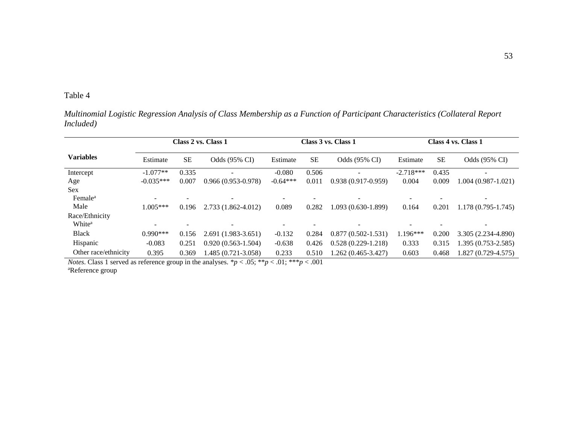*Multinomial Logistic Regression Analysis of Class Membership as a Function of Participant Characteristics (Collateral Report Included)*

|                      | Class 2 vs. Class 1      |           |                          |            |           | Class 3 vs. Class 1    | Class 4 vs. Class 1 |           |                          |  |
|----------------------|--------------------------|-----------|--------------------------|------------|-----------|------------------------|---------------------|-----------|--------------------------|--|
| <b>Variables</b>     | Estimate                 | <b>SE</b> | Odds (95% CI)            | Estimate   | <b>SE</b> | Odds (95% CI)          | Estimate            | <b>SE</b> | Odds (95% CI)            |  |
| Intercept            | $-1.077**$               | 0.335     | $\blacksquare$           | $-0.080$   | 0.506     |                        | $-2.718***$         | 0.435     | $\overline{\phantom{0}}$ |  |
| Age                  | $-0.035***$              | 0.007     | $0.966(0.953 - 0.978)$   | $-0.64***$ | 0.011     | $0.938(0.917-0.959)$   | 0.004               | 0.009     | $1.004(0.987-1.021)$     |  |
| <b>Sex</b>           |                          |           |                          |            |           |                        |                     |           |                          |  |
| Female <sup>a</sup>  | $\overline{\phantom{a}}$ |           | $\overline{\phantom{a}}$ |            |           | -                      |                     |           |                          |  |
| Male                 | $1.005***$               | 0.196     | 2.733 (1.862-4.012)      | 0.089      | 0.282     | 1.093 (0.630-1.899)    | 0.164               | 0.201     | $1.178(0.795-1.745)$     |  |
| Race/Ethnicity       |                          |           |                          |            |           |                        |                     |           |                          |  |
| White <sup>a</sup>   |                          |           | $\overline{\phantom{a}}$ |            |           |                        |                     |           |                          |  |
| <b>Black</b>         | $0.990***$               | 0.156     | $2.691(1.983 - 3.651)$   | $-0.132$   | 0.284     | $0.877(0.502 - 1.531)$ | $1.196***$          | 0.200     | 3.305 (2.234-4.890)      |  |
| Hispanic             | $-0.083$                 | 0.251     | $0.920(0.563 - 1.504)$   | $-0.638$   | 0.426     | $0.528(0.229-1.218)$   | 0.333               | 0.315     | 1.395 (0.753-2.585)      |  |
| Other race/ethnicity | 0.395                    | 0.369     | 1.485 (0.721-3.058)      | 0.233      | 0.510     | $1.262(0.465 - 3.427)$ | 0.603               | 0.468     | 1.827 (0.729-4.575)      |  |

*Notes*. Class 1 served as reference group in the analyses. \* $p < .05$ ; \*\* $p < .01$ ; \*\* $p < .001$ aReference group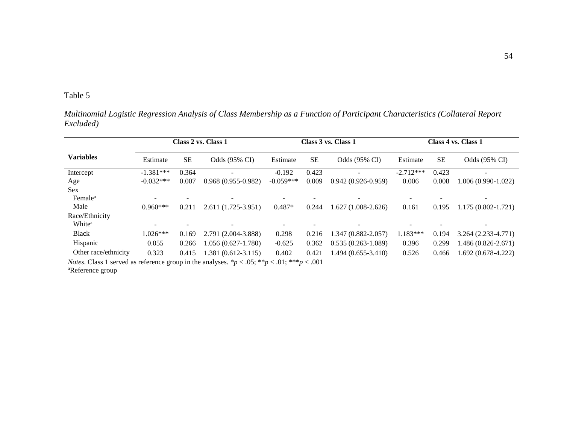*Multinomial Logistic Regression Analysis of Class Membership as a Function of Participant Characteristics (Collateral Report Excluded)*

|                      | Class 2 vs. Class 1 |           |                          |             |           | Class 3 vs. Class 1    | Class 4 vs. Class 1 |           |                          |  |
|----------------------|---------------------|-----------|--------------------------|-------------|-----------|------------------------|---------------------|-----------|--------------------------|--|
| <b>Variables</b>     | Estimate            | <b>SE</b> | Odds (95% CI)            | Estimate    | <b>SE</b> | Odds (95% CI)          | Estimate            | <b>SE</b> | Odds (95% CI)            |  |
| Intercept            | $-1.381***$         | 0.364     | $\blacksquare$           | $-0.192$    | 0.423     |                        | $-2.712***$         | 0.423     | $\overline{\phantom{0}}$ |  |
| Age                  | $-0.032***$         | 0.007     | $0.968(0.955-0.982)$     | $-0.059***$ | 0.009     | $0.942(0.926-0.959)$   | 0.006               | 0.008     | 1.006 (0.990-1.022)      |  |
| <b>Sex</b>           |                     |           |                          |             |           |                        |                     |           |                          |  |
| Female <sup>a</sup>  |                     |           | ۰                        |             |           |                        |                     |           |                          |  |
| Male                 | $0.960***$          | 0.211     | $2.611(1.725-3.951)$     | $0.487*$    | 0.244     | $1.627(1.008-2.626)$   | 0.161               | 0.195     | $1.175(0.802 - 1.721)$   |  |
| Race/Ethnicity       |                     |           |                          |             |           |                        |                     |           |                          |  |
| White <sup>a</sup>   |                     |           | $\overline{\phantom{0}}$ |             |           |                        |                     |           |                          |  |
| <b>Black</b>         | $1.026***$          | 0.169     | 2.791 (2.004-3.888)      | 0.298       | 0.216     | $1.347(0.882 - 2.057)$ | $1.183***$          | 0.194     | $3.264(2.233-4.771)$     |  |
| Hispanic             | 0.055               | 0.266     | 0.056 (0.627-1.780)      | $-0.625$    | 0.362     | $0.535(0.263 - 1.089)$ | 0.396               | 0.299     | 1.486 (0.826-2.671)      |  |
| Other race/ethnicity | 0.323               | 0.415     | 1.381 (0.612-3.115)      | 0.402       | 0.421     | 1.494 (0.655-3.410)    | 0.526               | 0.466     | 1.692 (0.678-4.222)      |  |

*Notes*. Class 1 served as reference group in the analyses. \* $p < .05$ ; \*\* $p < .01$ ; \*\* $p < .001$ aReference group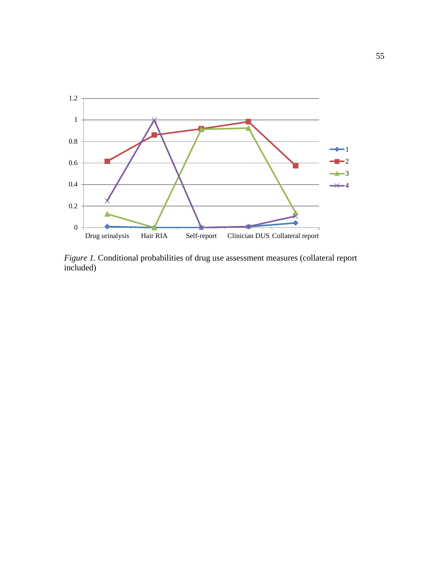

*Figure 1*. Conditional probabilities of drug use assessment measures (collateral report included)